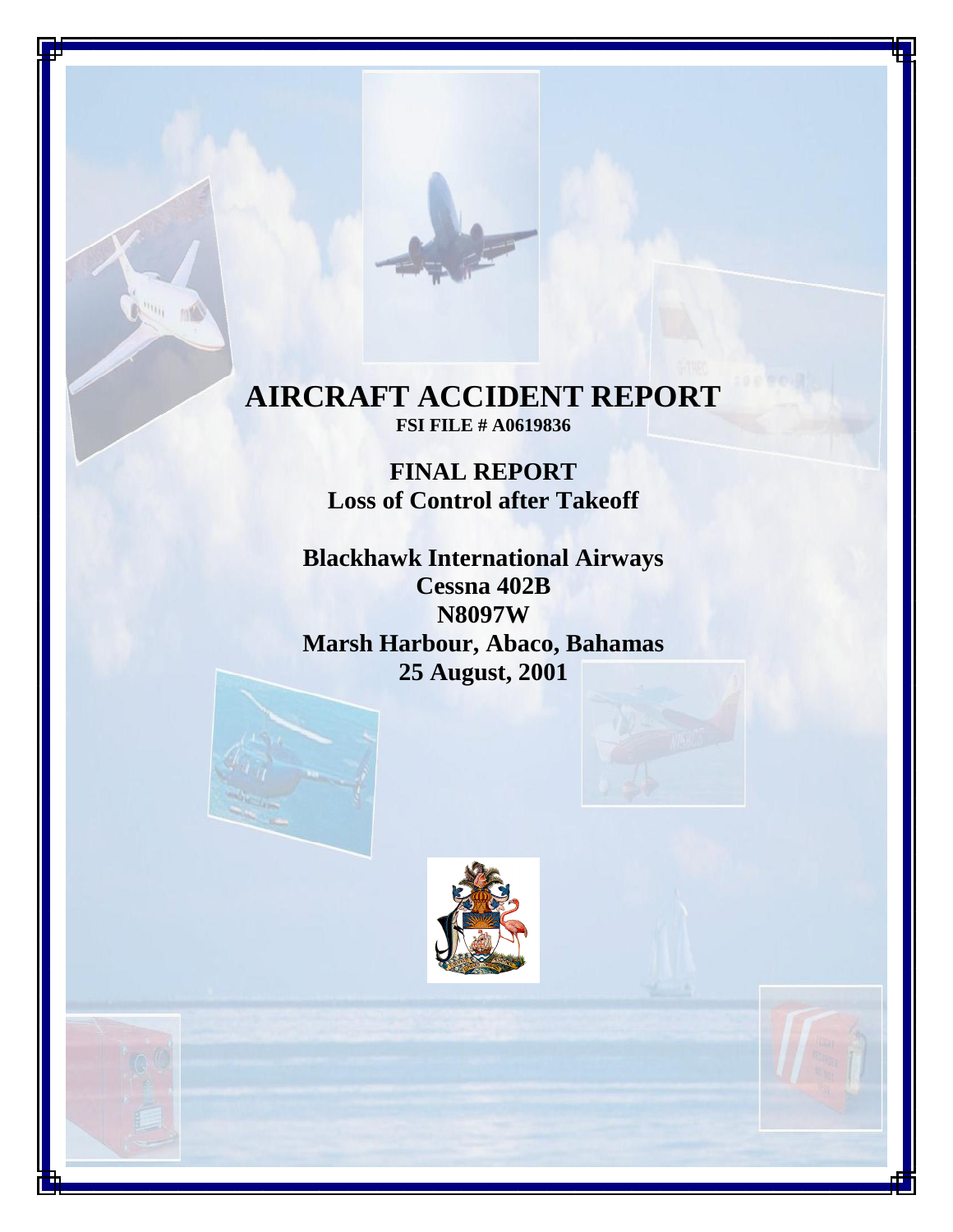# **AIRCRAFT ACCIDENT REPORT FSI FILE # A0619836**

**FINAL REPORT Loss of Control after Takeoff**

**Blackhawk International Airways Cessna 402B N8097W Marsh Harbour, Abaco, Bahamas 25 August, 2001**



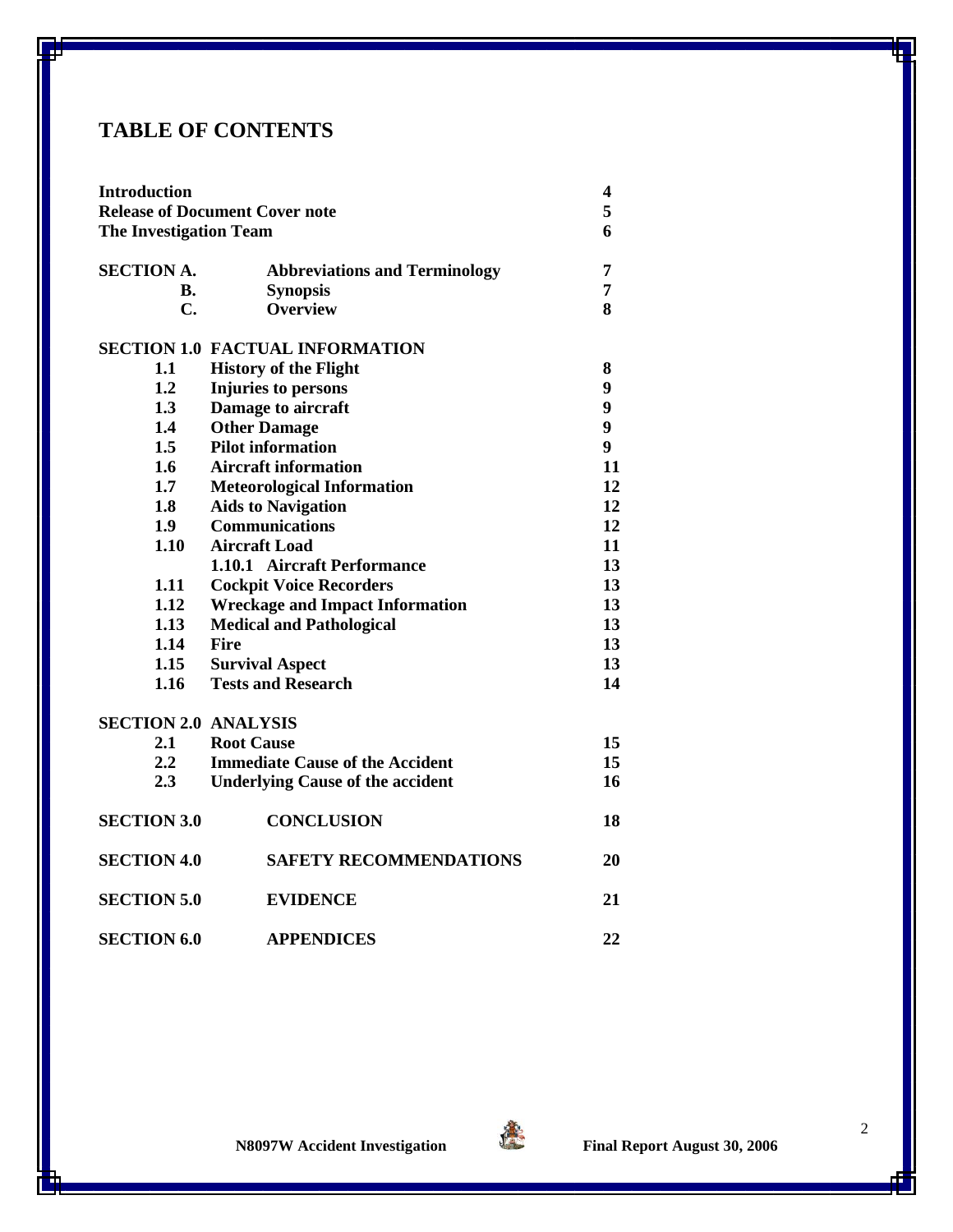# **TABLE OF CONTENTS**

| <b>Introduction</b><br><b>Release of Document Cover note</b> |                                         |                  |                               |
|--------------------------------------------------------------|-----------------------------------------|------------------|-------------------------------|
|                                                              |                                         |                  | <b>The Investigation Team</b> |
|                                                              |                                         |                  |                               |
| <b>SECTION A.</b>                                            | <b>Abbreviations and Terminology</b>    | 7                |                               |
| В.                                                           | <b>Synopsis</b>                         | 7                |                               |
| C.                                                           | <b>Overview</b>                         | 8                |                               |
|                                                              | <b>SECTION 1.0 FACTUAL INFORMATION</b>  |                  |                               |
| 1.1                                                          | <b>History of the Flight</b>            | 8                |                               |
| 1.2                                                          | Injuries to persons                     | 9                |                               |
| 1.3                                                          | Damage to aircraft                      | 9                |                               |
| 1.4                                                          | <b>Other Damage</b>                     | 9                |                               |
| 1.5                                                          | <b>Pilot information</b>                | $\boldsymbol{9}$ |                               |
| 1.6                                                          | <b>Aircraft information</b>             | 11               |                               |
| 1.7                                                          | <b>Meteorological Information</b>       | 12               |                               |
| 1.8                                                          | <b>Aids to Navigation</b>               | 12               |                               |
| 1.9 <sup>°</sup>                                             | <b>Communications</b>                   | 12               |                               |
| 1.10                                                         | <b>Aircraft Load</b>                    | 11               |                               |
|                                                              | 1.10.1 Aircraft Performance             | 13               |                               |
| 1.11                                                         | <b>Cockpit Voice Recorders</b>          | 13               |                               |
| 1.12                                                         | <b>Wreckage and Impact Information</b>  |                  |                               |
| 1.13                                                         | <b>Medical and Pathological</b>         |                  |                               |
| 1.14                                                         | <b>Fire</b>                             | 13               |                               |
| 1.15                                                         | <b>Survival Aspect</b>                  | 13               |                               |
| 1.16                                                         | <b>Tests and Research</b>               | 14               |                               |
| <b>SECTION 2.0 ANALYSIS</b>                                  |                                         |                  |                               |
| 2.1                                                          | <b>Root Cause</b>                       | 15               |                               |
| 2.2                                                          | <b>Immediate Cause of the Accident</b>  | 15               |                               |
| 2.3                                                          | <b>Underlying Cause of the accident</b> | 16               |                               |
|                                                              |                                         |                  |                               |
| <b>SECTION 3.0</b>                                           | <b>CONCLUSION</b>                       | 18               |                               |
| <b>SECTION 4.0</b>                                           | <b>SAFETY RECOMMENDATIONS</b>           | 20               |                               |
| <b>SECTION 5.0</b>                                           | <b>EVIDENCE</b>                         | 21               |                               |
| <b>SECTION 6.0</b>                                           | <b>APPENDICES</b>                       | 22               |                               |

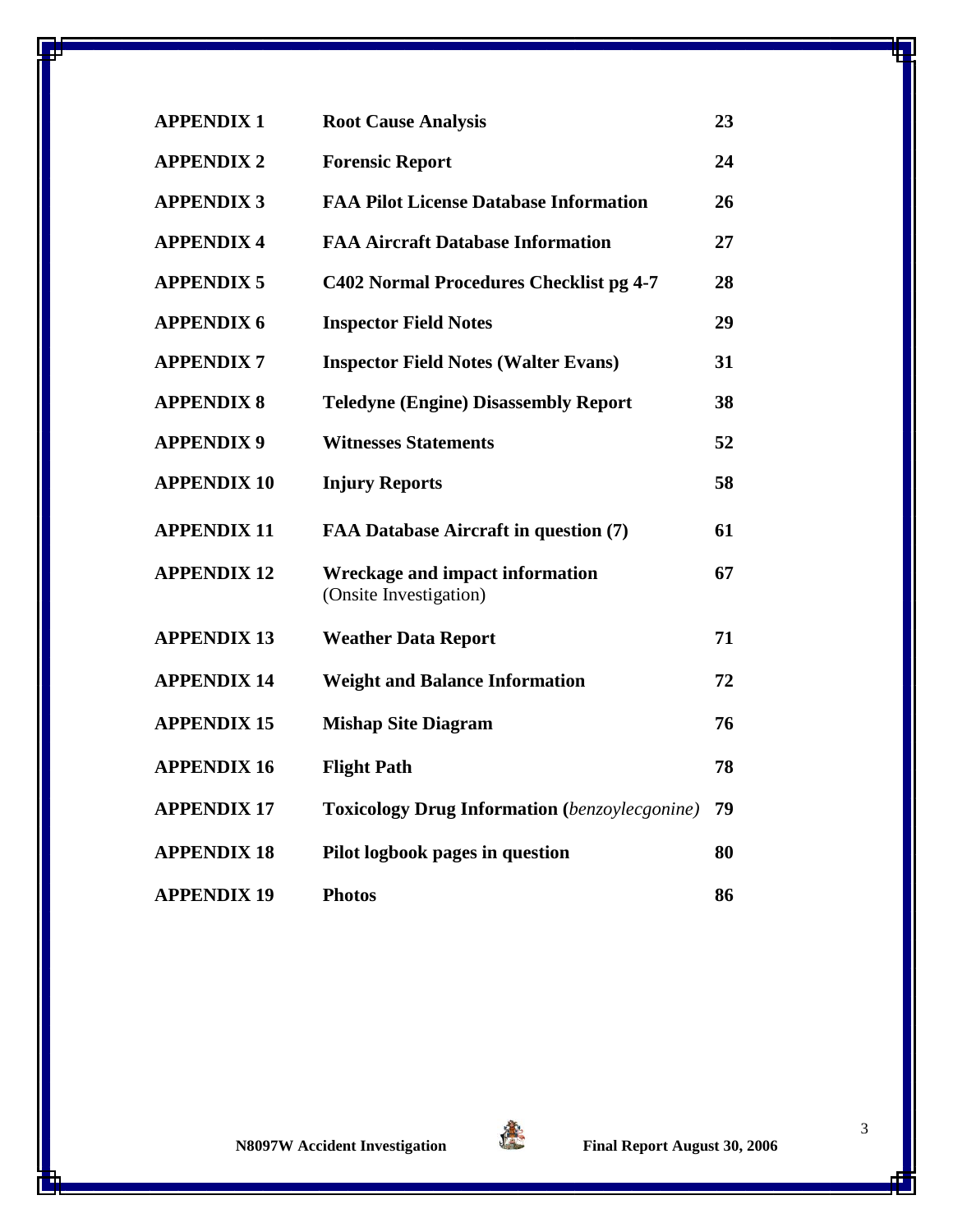| <b>APPENDIX 1</b>  | <b>Root Cause Analysis</b>                                | 23 |
|--------------------|-----------------------------------------------------------|----|
| <b>APPENDIX 2</b>  | <b>Forensic Report</b>                                    | 24 |
| <b>APPENDIX 3</b>  | <b>FAA Pilot License Database Information</b>             | 26 |
| <b>APPENDIX 4</b>  | <b>FAA Aircraft Database Information</b>                  | 27 |
| <b>APPENDIX 5</b>  | C402 Normal Procedures Checklist pg 4-7                   | 28 |
| <b>APPENDIX 6</b>  | <b>Inspector Field Notes</b>                              | 29 |
| <b>APPENDIX7</b>   | <b>Inspector Field Notes (Walter Evans)</b>               | 31 |
| <b>APPENDIX 8</b>  | <b>Teledyne (Engine) Disassembly Report</b>               | 38 |
| <b>APPENDIX 9</b>  | <b>Witnesses Statements</b>                               | 52 |
| <b>APPENDIX 10</b> | <b>Injury Reports</b>                                     | 58 |
| <b>APPENDIX 11</b> | FAA Database Aircraft in question (7)                     | 61 |
| <b>APPENDIX 12</b> | Wreckage and impact information<br>(Onsite Investigation) | 67 |
| <b>APPENDIX 13</b> | <b>Weather Data Report</b>                                | 71 |
| <b>APPENDIX 14</b> | <b>Weight and Balance Information</b>                     | 72 |
| <b>APPENDIX 15</b> | <b>Mishap Site Diagram</b>                                | 76 |
| <b>APPENDIX 16</b> | <b>Flight Path</b>                                        | 78 |
| <b>APPENDIX 17</b> | <b>Toxicology Drug Information</b> (benzoylecgonine)      | 79 |
| <b>APPENDIX 18</b> |                                                           |    |
|                    | Pilot logbook pages in question                           | 80 |

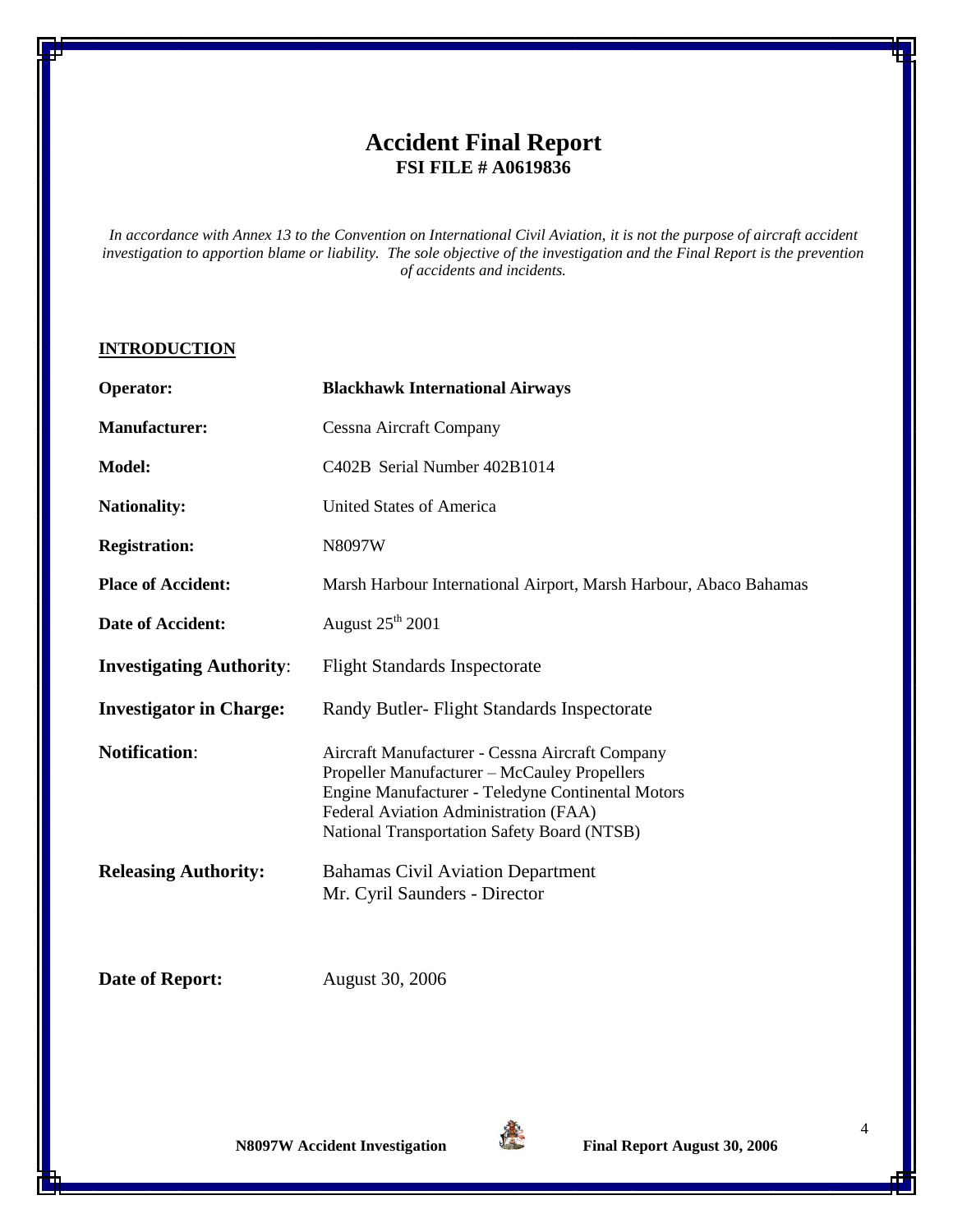# **Accident Final Report FSI FILE # A0619836**

*In accordance with Annex 13 to the Convention on International Civil Aviation, it is not the purpose of aircraft accident investigation to apportion blame or liability. The sole objective of the investigation and the Final Report is the prevention of accidents and incidents.*

#### **INTRODUCTION**

| <b>Operator:</b>                | <b>Blackhawk International Airways</b>                                                                                                                                                                                                              |  |
|---------------------------------|-----------------------------------------------------------------------------------------------------------------------------------------------------------------------------------------------------------------------------------------------------|--|
| <b>Manufacturer:</b>            | Cessna Aircraft Company                                                                                                                                                                                                                             |  |
| Model:                          | C402B Serial Number 402B1014                                                                                                                                                                                                                        |  |
| <b>Nationality:</b>             | United States of America                                                                                                                                                                                                                            |  |
| <b>Registration:</b>            | N8097W                                                                                                                                                                                                                                              |  |
| <b>Place of Accident:</b>       | Marsh Harbour International Airport, Marsh Harbour, Abaco Bahamas                                                                                                                                                                                   |  |
| Date of Accident:               | August $25^{\text{th}}$ 2001                                                                                                                                                                                                                        |  |
| <b>Investigating Authority:</b> | <b>Flight Standards Inspectorate</b>                                                                                                                                                                                                                |  |
| <b>Investigator in Charge:</b>  | Randy Butler- Flight Standards Inspectorate                                                                                                                                                                                                         |  |
| <b>Notification:</b>            | Aircraft Manufacturer - Cessna Aircraft Company<br>Propeller Manufacturer - McCauley Propellers<br>Engine Manufacturer - Teledyne Continental Motors<br>Federal Aviation Administration (FAA)<br><b>National Transportation Safety Board (NTSB)</b> |  |
| <b>Releasing Authority:</b>     | <b>Bahamas Civil Aviation Department</b><br>Mr. Cyril Saunders - Director                                                                                                                                                                           |  |

**Date of Report:** August 30, 2006

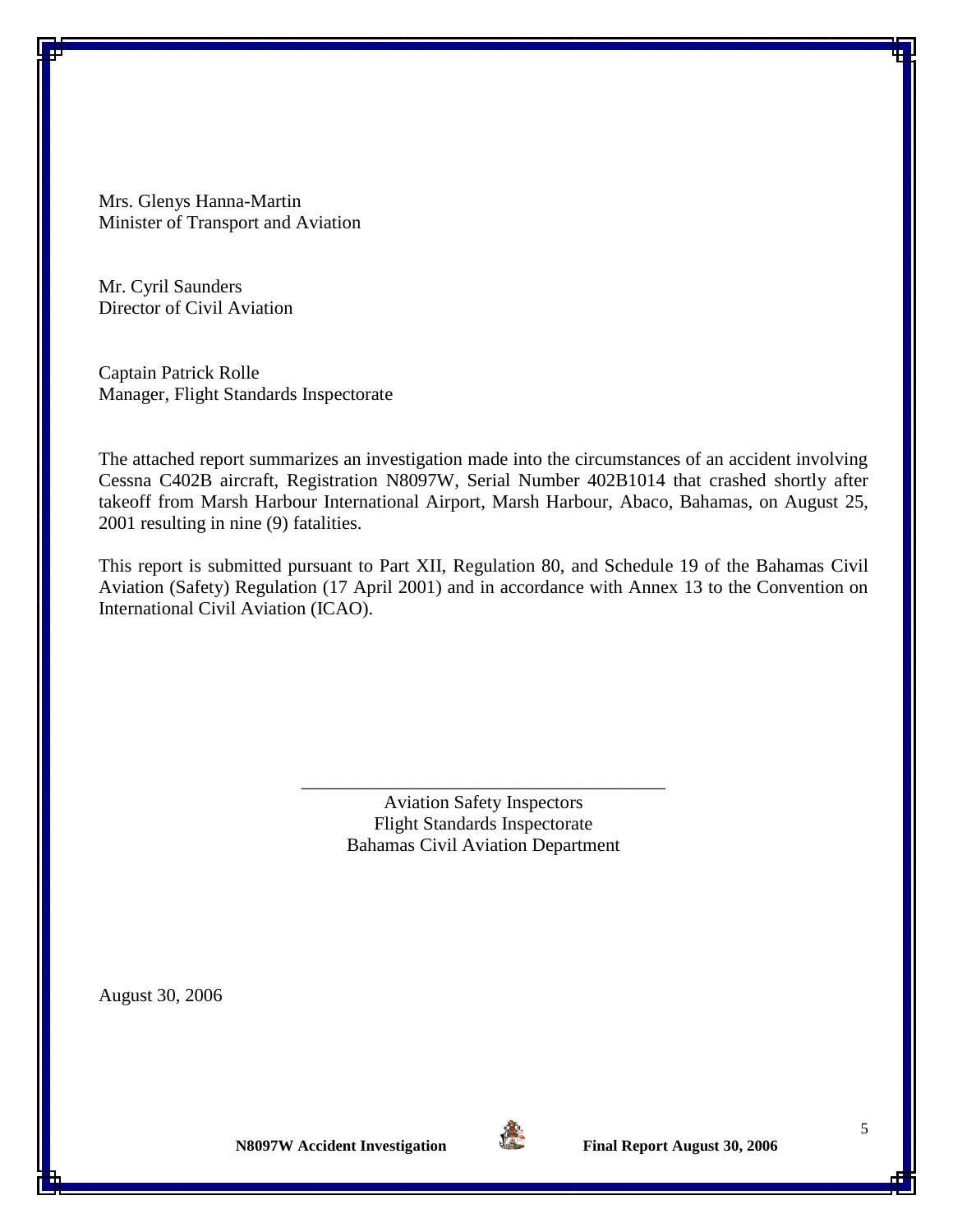Mrs. Glenys Hanna-Martin Minister of Transport and Aviation

Mr. Cyril Saunders Director of Civil Aviation

Captain Patrick Rolle Manager, Flight Standards Inspectorate

The attached report summarizes an investigation made into the circumstances of an accident involving Cessna C402B aircraft, Registration N8097W, Serial Number 402B1014 that crashed shortly after takeoff from Marsh Harbour International Airport, Marsh Harbour, Abaco, Bahamas, on August 25, 2001 resulting in nine (9) fatalities.

This report is submitted pursuant to Part XII, Regulation 80, and Schedule 19 of the Bahamas Civil Aviation (Safety) Regulation (17 April 2001) and in accordance with Annex 13 to the Convention on International Civil Aviation (ICAO).

> Aviation Safety Inspectors Flight Standards Inspectorate Bahamas Civil Aviation Department

\_\_\_\_\_\_\_\_\_\_\_\_\_\_\_\_\_\_\_\_\_\_\_\_\_\_\_\_\_\_\_\_\_\_\_\_\_\_\_

August 30, 2006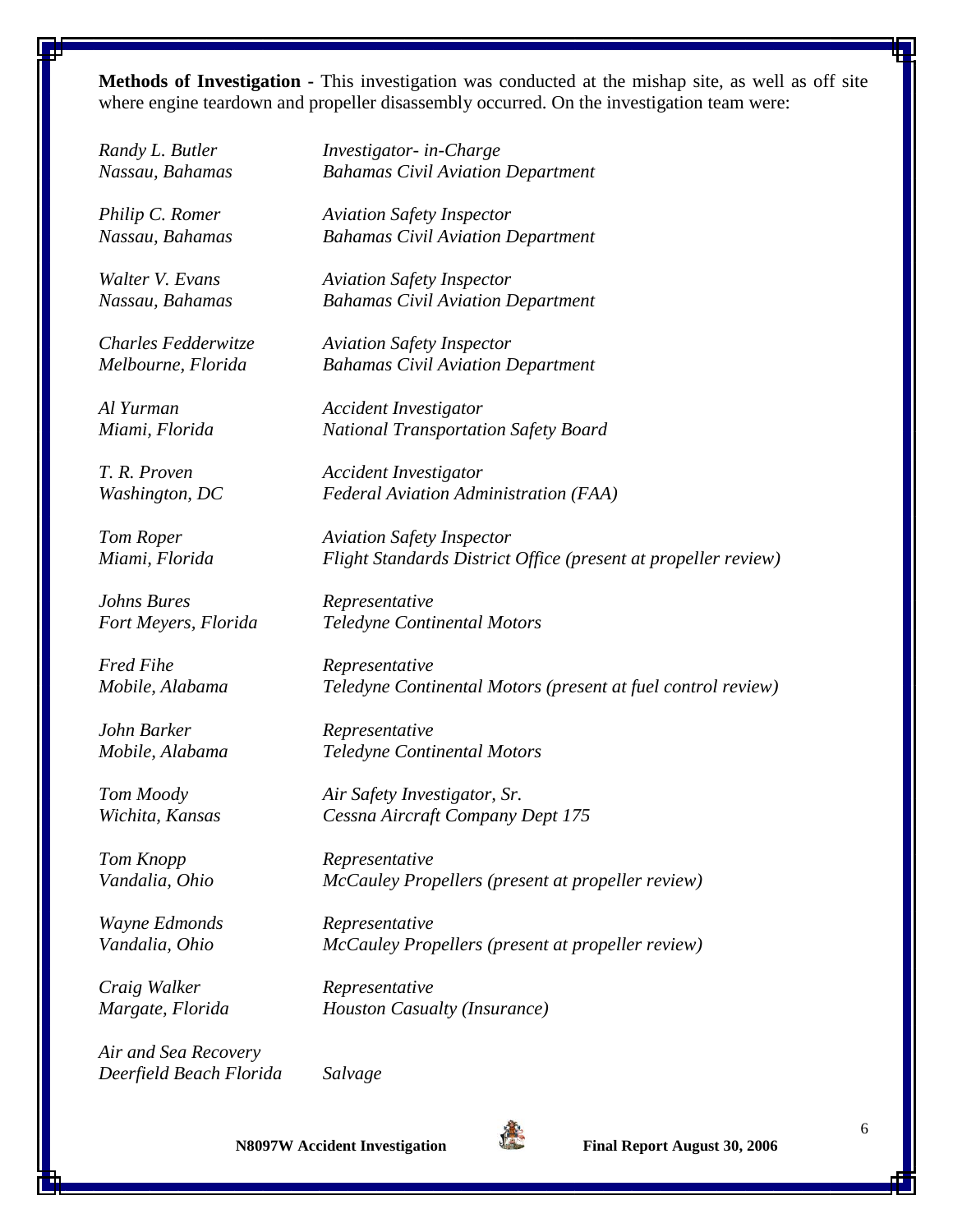**Methods of Investigation -** This investigation was conducted at the mishap site, as well as off site where engine teardown and propeller disassembly occurred. On the investigation team were:

*Johns Bures Representative*

*Fred Fihe Representative*

*John Barker Representative*

*Wayne Edmonds Representative*

*Craig Walker Representative*

*Air and Sea Recovery Deerfield Beach Florida Salvage*

*Randy L. Butler Investigator- in-Charge Nassau, Bahamas Bahamas Civil Aviation Department*

*Philip C. Romer Aviation Safety Inspector Nassau, Bahamas Bahamas Civil Aviation Department* 

*Walter V. Evans Aviation Safety Inspector Nassau, Bahamas Bahamas Civil Aviation Department* 

*Charles Fedderwitze Aviation Safety Inspector Melbourne, Florida Bahamas Civil Aviation Department* 

*Al Yurman Accident Investigator Miami, Florida National Transportation Safety Board*

*T. R. Proven Accident Investigator Washington, DC Federal Aviation Administration (FAA)*

*Tom Roper Aviation Safety Inspector Miami, Florida Flight Standards District Office (present at propeller review)*

*Fort Meyers, Florida Teledyne Continental Motors*

*Mobile, Alabama Teledyne Continental Motors (present at fuel control review)*

*Mobile, Alabama Teledyne Continental Motors*

*Tom Moody Air Safety Investigator, Sr. Wichita, Kansas Cessna Aircraft Company Dept 175*

*Tom Knopp Representative Vandalia, Ohio McCauley Propellers (present at propeller review)*

*Vandalia, Ohio McCauley Propellers (present at propeller review)*

*Margate, Florida Houston Casualty (Insurance)*

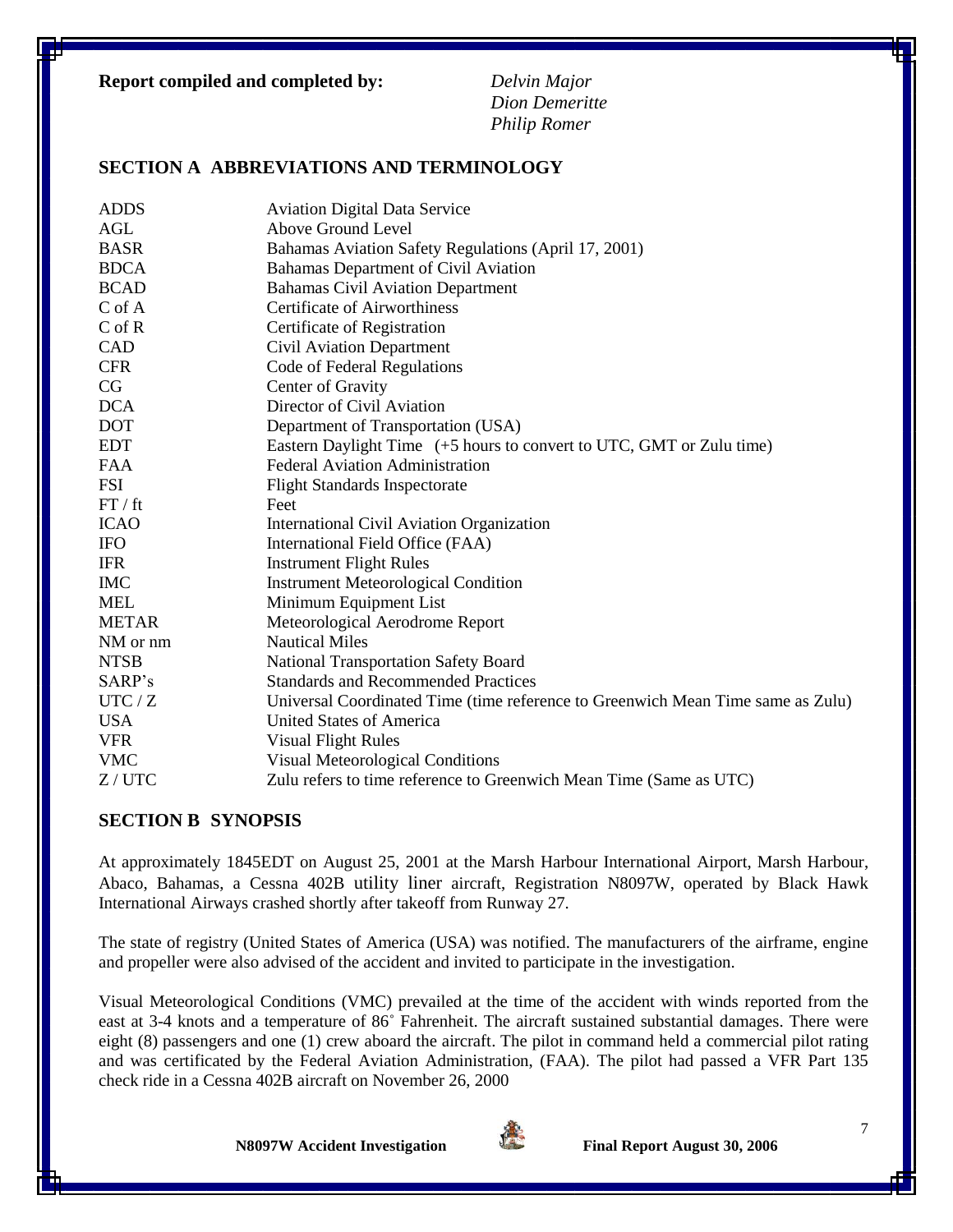#### **Report compiled and completed by:** *Delvin Major*

*Dion Demeritte Philip Romer*

### **SECTION A ABBREVIATIONS AND TERMINOLOGY**

| <b>ADDS</b>  | <b>Aviation Digital Data Service</b>                                            |  |  |
|--------------|---------------------------------------------------------------------------------|--|--|
| AGL          | Above Ground Level                                                              |  |  |
| <b>BASR</b>  | Bahamas Aviation Safety Regulations (April 17, 2001)                            |  |  |
| <b>BDCA</b>  | Bahamas Department of Civil Aviation                                            |  |  |
| <b>BCAD</b>  | <b>Bahamas Civil Aviation Department</b>                                        |  |  |
| $C$ of $A$   | <b>Certificate of Airworthiness</b>                                             |  |  |
| $C$ of $R$   | Certificate of Registration                                                     |  |  |
| <b>CAD</b>   | <b>Civil Aviation Department</b>                                                |  |  |
| <b>CFR</b>   | Code of Federal Regulations                                                     |  |  |
| CG           | Center of Gravity                                                               |  |  |
| <b>DCA</b>   | Director of Civil Aviation                                                      |  |  |
| <b>DOT</b>   | Department of Transportation (USA)                                              |  |  |
| <b>EDT</b>   | Eastern Daylight Time (+5 hours to convert to UTC, GMT or Zulu time)            |  |  |
| <b>FAA</b>   | <b>Federal Aviation Administration</b>                                          |  |  |
| <b>FSI</b>   | <b>Flight Standards Inspectorate</b>                                            |  |  |
| FT/ft        | Feet                                                                            |  |  |
| <b>ICAO</b>  | International Civil Aviation Organization                                       |  |  |
| <b>IFO</b>   | International Field Office (FAA)                                                |  |  |
| <b>IFR</b>   | <b>Instrument Flight Rules</b>                                                  |  |  |
| <b>IMC</b>   | <b>Instrument Meteorological Condition</b>                                      |  |  |
| <b>MEL</b>   | Minimum Equipment List                                                          |  |  |
| <b>METAR</b> | Meteorological Aerodrome Report                                                 |  |  |
| NM or nm     | <b>Nautical Miles</b>                                                           |  |  |
| <b>NTSB</b>  | National Transportation Safety Board                                            |  |  |
| SARP's       | <b>Standards and Recommended Practices</b>                                      |  |  |
| UTC/Z        | Universal Coordinated Time (time reference to Greenwich Mean Time same as Zulu) |  |  |
| <b>USA</b>   | United States of America                                                        |  |  |
| <b>VFR</b>   | <b>Visual Flight Rules</b>                                                      |  |  |
| <b>VMC</b>   | <b>Visual Meteorological Conditions</b>                                         |  |  |
| $Z/$ UTC     | Zulu refers to time reference to Greenwich Mean Time (Same as UTC)              |  |  |
|              |                                                                                 |  |  |

### **SECTION B SYNOPSIS**

At approximately 1845EDT on August 25, 2001 at the Marsh Harbour International Airport, Marsh Harbour, Abaco, Bahamas, a Cessna 402B utility liner aircraft, Registration N8097W, operated by Black Hawk International Airways crashed shortly after takeoff from Runway 27.

The state of registry (United States of America (USA) was notified. The manufacturers of the airframe, engine and propeller were also advised of the accident and invited to participate in the investigation.

Visual Meteorological Conditions (VMC) prevailed at the time of the accident with winds reported from the east at 3-4 knots and a temperature of 86˚ Fahrenheit. The aircraft sustained substantial damages. There were eight (8) passengers and one (1) crew aboard the aircraft. The pilot in command held a commercial pilot rating and was certificated by the Federal Aviation Administration, (FAA). The pilot had passed a VFR Part 135 check ride in a Cessna 402B aircraft on November 26, 2000

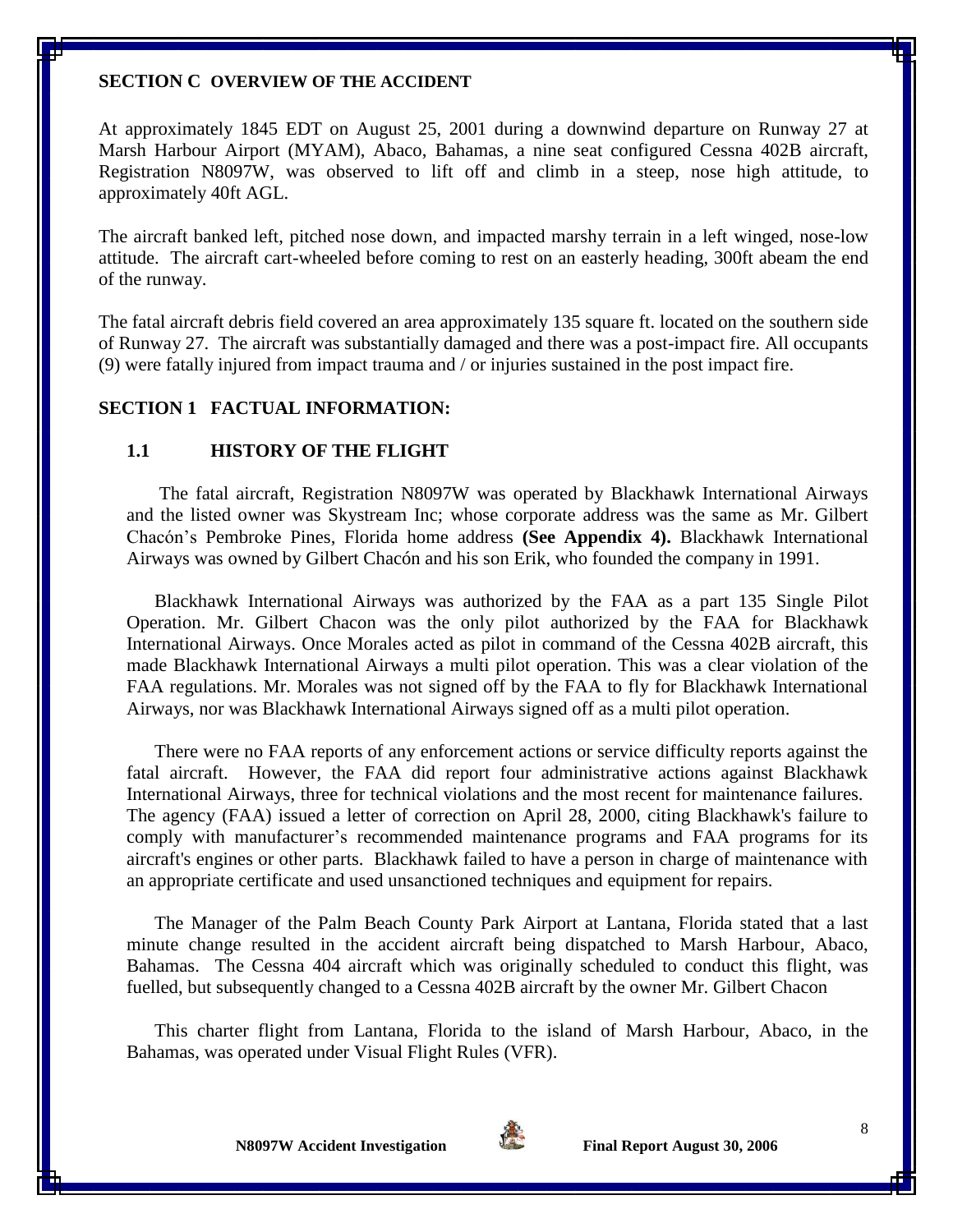#### **SECTION C OVERVIEW OF THE ACCIDENT**

At approximately 1845 EDT on August 25, 2001 during a downwind departure on Runway 27 at Marsh Harbour Airport (MYAM), Abaco, Bahamas, a nine seat configured Cessna 402B aircraft, Registration N8097W, was observed to lift off and climb in a steep, nose high attitude, to approximately 40ft AGL.

The aircraft banked left, pitched nose down, and impacted marshy terrain in a left winged, nose-low attitude. The aircraft cart-wheeled before coming to rest on an easterly heading, 300ft abeam the end of the runway.

The fatal aircraft debris field covered an area approximately 135 square ft. located on the southern side of Runway 27. The aircraft was substantially damaged and there was a post-impact fire. All occupants (9) were fatally injured from impact trauma and / or injuries sustained in the post impact fire.

### **SECTION 1 FACTUAL INFORMATION:**

#### **1.1 HISTORY OF THE FLIGHT**

The fatal aircraft, Registration N8097W was operated by Blackhawk International Airways and the listed owner was Skystream Inc; whose corporate address was the same as Mr. Gilbert Chacón's Pembroke Pines, Florida home address **(See Appendix 4).** Blackhawk International Airways was owned by Gilbert Chacón and his son Erik, who founded the company in 1991.

Blackhawk International Airways was authorized by the FAA as a part 135 Single Pilot Operation. Mr. Gilbert Chacon was the only pilot authorized by the FAA for Blackhawk International Airways. Once Morales acted as pilot in command of the Cessna 402B aircraft, this made Blackhawk International Airways a multi pilot operation. This was a clear violation of the FAA regulations. Mr. Morales was not signed off by the FAA to fly for Blackhawk International Airways, nor was Blackhawk International Airways signed off as a multi pilot operation.

There were no FAA reports of any enforcement actions or service difficulty reports against the fatal aircraft. However, the FAA did report four administrative actions against Blackhawk International Airways, three for technical violations and the most recent for maintenance failures. The agency (FAA) issued a letter of correction on April 28, 2000, citing Blackhawk's failure to comply with manufacturer's recommended maintenance programs and FAA programs for its aircraft's engines or other parts. Blackhawk failed to have a person in charge of maintenance with an appropriate certificate and used unsanctioned techniques and equipment for repairs.

The Manager of the Palm Beach County Park Airport at Lantana, Florida stated that a last minute change resulted in the accident aircraft being dispatched to Marsh Harbour, Abaco, Bahamas. The Cessna 404 aircraft which was originally scheduled to conduct this flight, was fuelled, but subsequently changed to a Cessna 402B aircraft by the owner Mr. Gilbert Chacon

This charter flight from Lantana, Florida to the island of Marsh Harbour, Abaco, in the Bahamas, was operated under Visual Flight Rules (VFR).



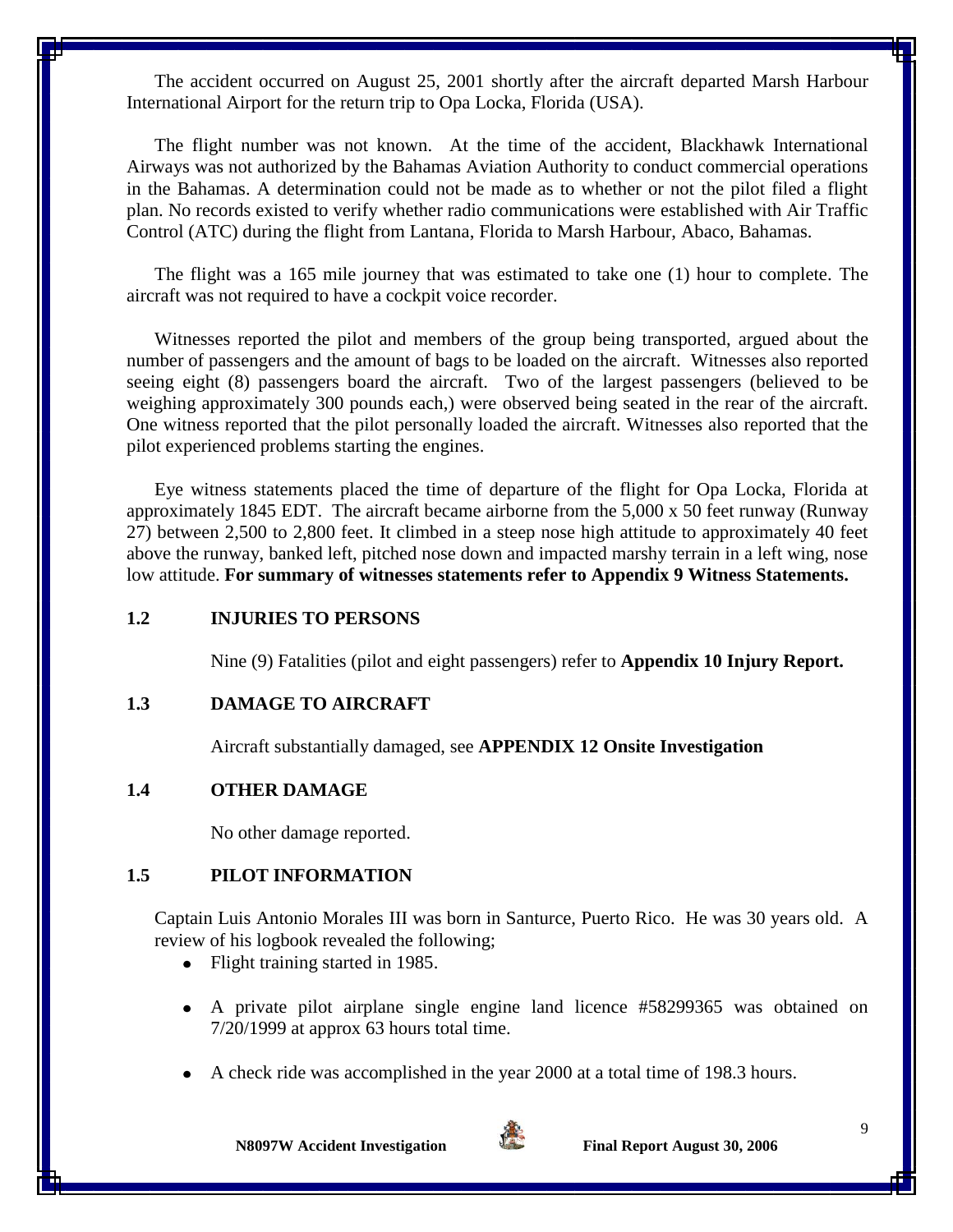The accident occurred on August 25, 2001 shortly after the aircraft departed Marsh Harbour International Airport for the return trip to Opa Locka, Florida (USA).

The flight number was not known. At the time of the accident, Blackhawk International Airways was not authorized by the Bahamas Aviation Authority to conduct commercial operations in the Bahamas. A determination could not be made as to whether or not the pilot filed a flight plan. No records existed to verify whether radio communications were established with Air Traffic Control (ATC) during the flight from Lantana, Florida to Marsh Harbour, Abaco, Bahamas.

The flight was a 165 mile journey that was estimated to take one (1) hour to complete. The aircraft was not required to have a cockpit voice recorder.

Witnesses reported the pilot and members of the group being transported, argued about the number of passengers and the amount of bags to be loaded on the aircraft. Witnesses also reported seeing eight (8) passengers board the aircraft. Two of the largest passengers (believed to be weighing approximately 300 pounds each,) were observed being seated in the rear of the aircraft. One witness reported that the pilot personally loaded the aircraft. Witnesses also reported that the pilot experienced problems starting the engines.

Eye witness statements placed the time of departure of the flight for Opa Locka, Florida at approximately 1845 EDT. The aircraft became airborne from the 5,000 x 50 feet runway (Runway 27) between 2,500 to 2,800 feet. It climbed in a steep nose high attitude to approximately 40 feet above the runway, banked left, pitched nose down and impacted marshy terrain in a left wing, nose low attitude. **For summary of witnesses statements refer to Appendix 9 Witness Statements.**

#### **1.2 INJURIES TO PERSONS**

Nine (9) Fatalities (pilot and eight passengers) refer to **Appendix 10 Injury Report.**

#### **1.3 DAMAGE TO AIRCRAFT**

Aircraft substantially damaged, see **APPENDIX 12 Onsite Investigation**

#### **1.4 OTHER DAMAGE**

No other damage reported.

#### **1.5 PILOT INFORMATION**

Captain Luis Antonio Morales III was born in Santurce, Puerto Rico. He was 30 years old. A review of his logbook revealed the following;

- Flight training started in 1985.  $\bullet$
- A private pilot airplane single engine land licence #58299365 was obtained on 7/20/1999 at approx 63 hours total time.
- A check ride was accomplished in the year 2000 at a total time of 198.3 hours.

**N8097W Accident Investigation** Final Report August 30, 2006

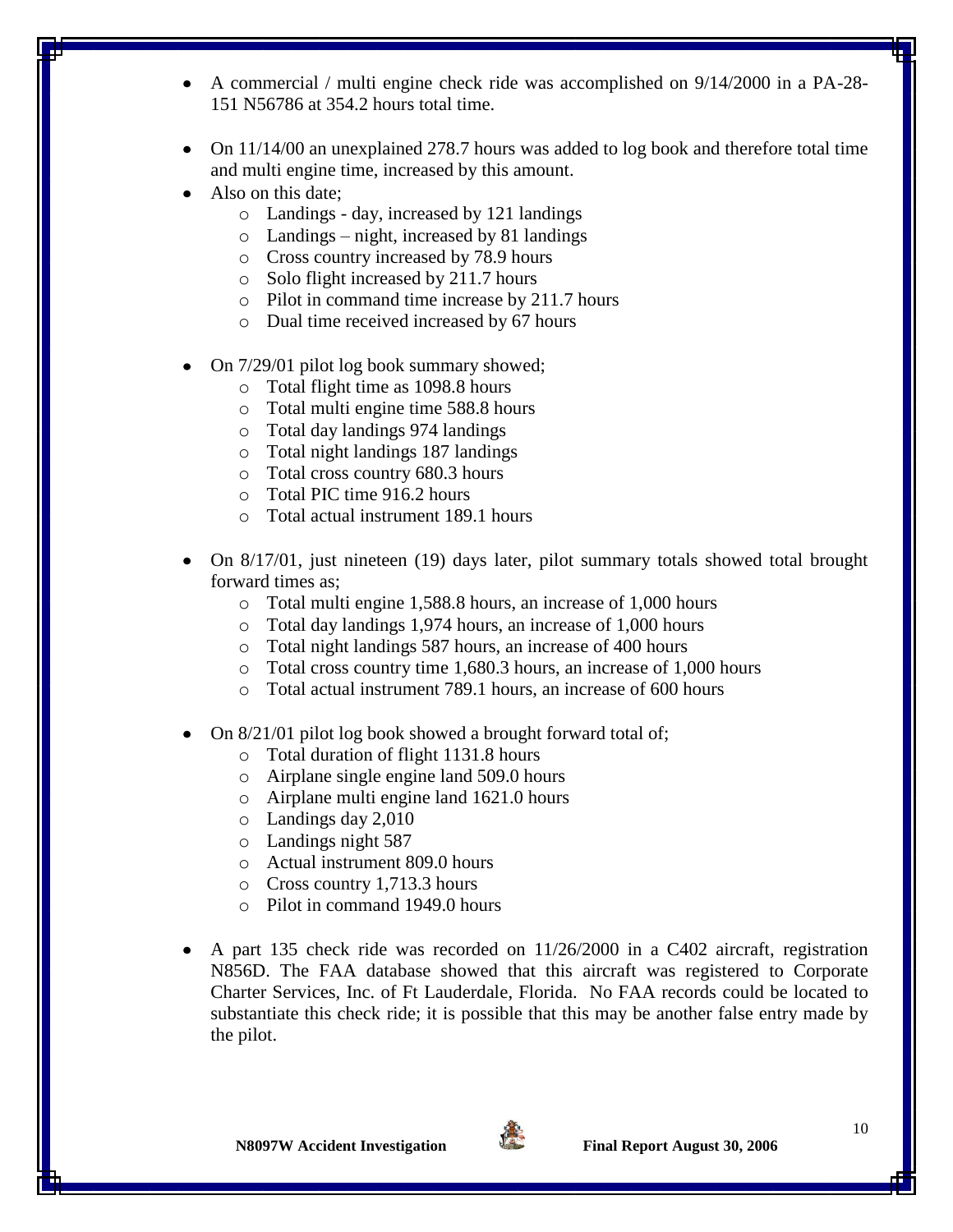- A commercial / multi engine check ride was accomplished on 9/14/2000 in a PA-28- 151 N56786 at 354.2 hours total time.
- On 11/14/00 an unexplained 278.7 hours was added to log book and therefore total time and multi engine time, increased by this amount.
- Also on this date;
	- o Landings day, increased by 121 landings
	- o Landings night, increased by 81 landings
	- o Cross country increased by 78.9 hours
	- o Solo flight increased by 211.7 hours
	- o Pilot in command time increase by 211.7 hours
	- o Dual time received increased by 67 hours
- On 7/29/01 pilot log book summary showed;
	- o Total flight time as 1098.8 hours
	- o Total multi engine time 588.8 hours
	- o Total day landings 974 landings
	- o Total night landings 187 landings
	- o Total cross country 680.3 hours
	- o Total PIC time 916.2 hours
	- o Total actual instrument 189.1 hours
- On 8/17/01, just nineteen (19) days later, pilot summary totals showed total brought forward times as;
	- o Total multi engine 1,588.8 hours, an increase of 1,000 hours
	- o Total day landings 1,974 hours, an increase of 1,000 hours
	- o Total night landings 587 hours, an increase of 400 hours
	- o Total cross country time 1,680.3 hours, an increase of 1,000 hours
	- o Total actual instrument 789.1 hours, an increase of 600 hours
- On 8/21/01 pilot log book showed a brought forward total of;
	- o Total duration of flight 1131.8 hours
	- o Airplane single engine land 509.0 hours
	- o Airplane multi engine land 1621.0 hours
	- o Landings day 2,010
	- o Landings night 587
	- o Actual instrument 809.0 hours
	- o Cross country 1,713.3 hours
	- o Pilot in command 1949.0 hours
- A part 135 check ride was recorded on 11/26/2000 in a C402 aircraft, registration N856D. The FAA database showed that this aircraft was registered to Corporate Charter Services, Inc. of Ft Lauderdale, Florida. No FAA records could be located to substantiate this check ride; it is possible that this may be another false entry made by the pilot.

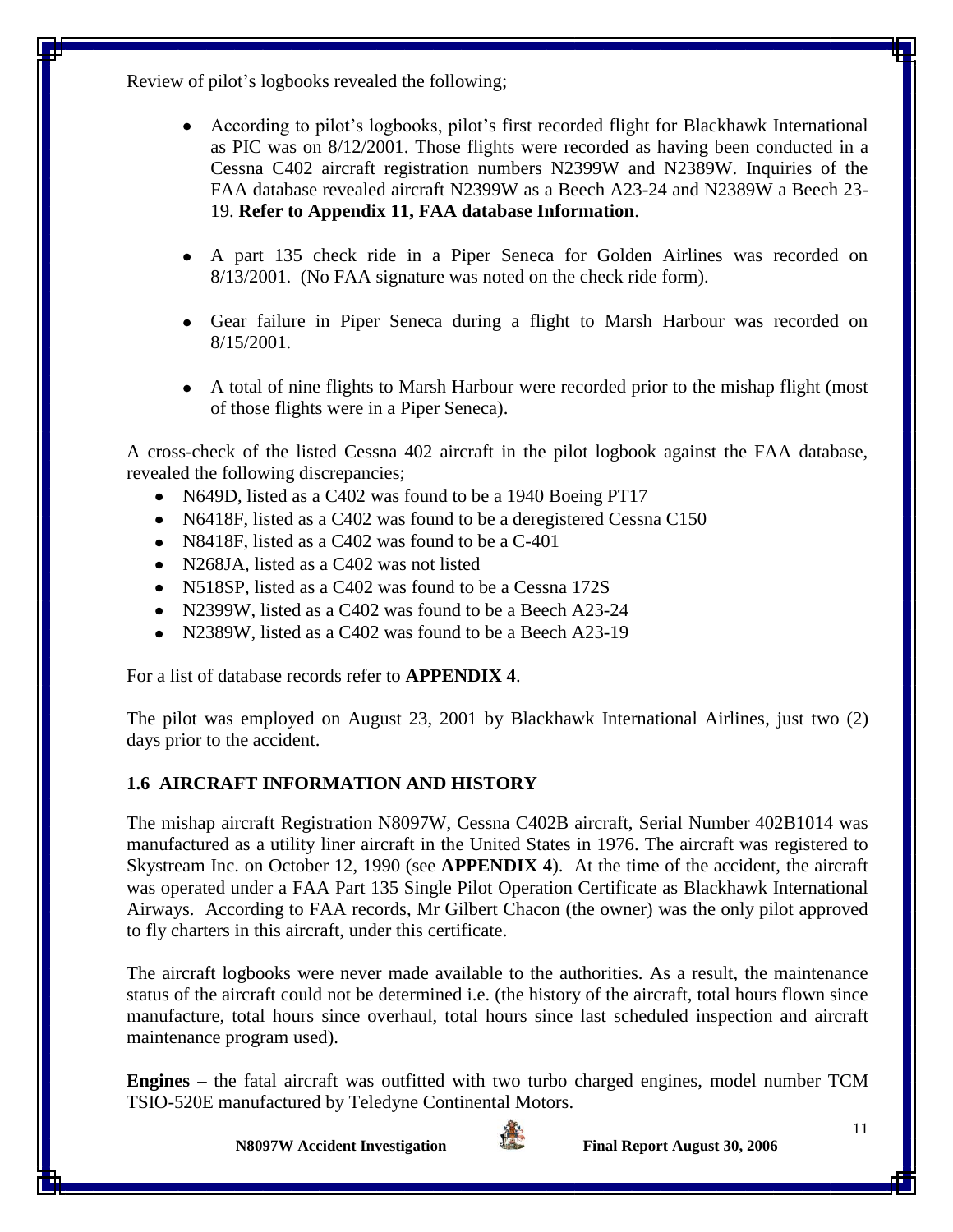Review of pilot's logbooks revealed the following;

- According to pilot's logbooks, pilot's first recorded flight for Blackhawk International as PIC was on 8/12/2001. Those flights were recorded as having been conducted in a Cessna C402 aircraft registration numbers N2399W and N2389W. Inquiries of the FAA database revealed aircraft N2399W as a Beech A23-24 and N2389W a Beech 23- 19. **Refer to Appendix 11, FAA database Information**.
- A part 135 check ride in a Piper Seneca for Golden Airlines was recorded on 8/13/2001. (No FAA signature was noted on the check ride form).
- Gear failure in Piper Seneca during a flight to Marsh Harbour was recorded on 8/15/2001.
- A total of nine flights to Marsh Harbour were recorded prior to the mishap flight (most of those flights were in a Piper Seneca).

A cross-check of the listed Cessna 402 aircraft in the pilot logbook against the FAA database, revealed the following discrepancies;

- N649D, listed as a C402 was found to be a 1940 Boeing PT17
- N6418F, listed as a C402 was found to be a deregistered Cessna C150
- N8418F, listed as a C402 was found to be a C-401
- N268JA, listed as a C402 was not listed
- N518SP, listed as a C402 was found to be a Cessna 172S
- N2399W, listed as a C402 was found to be a Beech A23-24
- N2389W, listed as a C402 was found to be a Beech A23-19

For a list of database records refer to **APPENDIX 4**.

The pilot was employed on August 23, 2001 by Blackhawk International Airlines, just two (2) days prior to the accident.

## **1.6 AIRCRAFT INFORMATION AND HISTORY**

The mishap aircraft Registration N8097W, Cessna C402B aircraft, Serial Number 402B1014 was manufactured as a utility liner aircraft in the United States in 1976. The aircraft was registered to Skystream Inc. on October 12, 1990 (see **APPENDIX 4**). At the time of the accident, the aircraft was operated under a FAA Part 135 Single Pilot Operation Certificate as Blackhawk International Airways. According to FAA records, Mr Gilbert Chacon (the owner) was the only pilot approved to fly charters in this aircraft, under this certificate.

The aircraft logbooks were never made available to the authorities. As a result, the maintenance status of the aircraft could not be determined i.e. (the history of the aircraft, total hours flown since manufacture, total hours since overhaul, total hours since last scheduled inspection and aircraft maintenance program used).

**Engines –** the fatal aircraft was outfitted with two turbo charged engines, model number TCM TSIO-520E manufactured by Teledyne Continental Motors.

**N8097W** Accident Investigation Final Report August 30, 2006

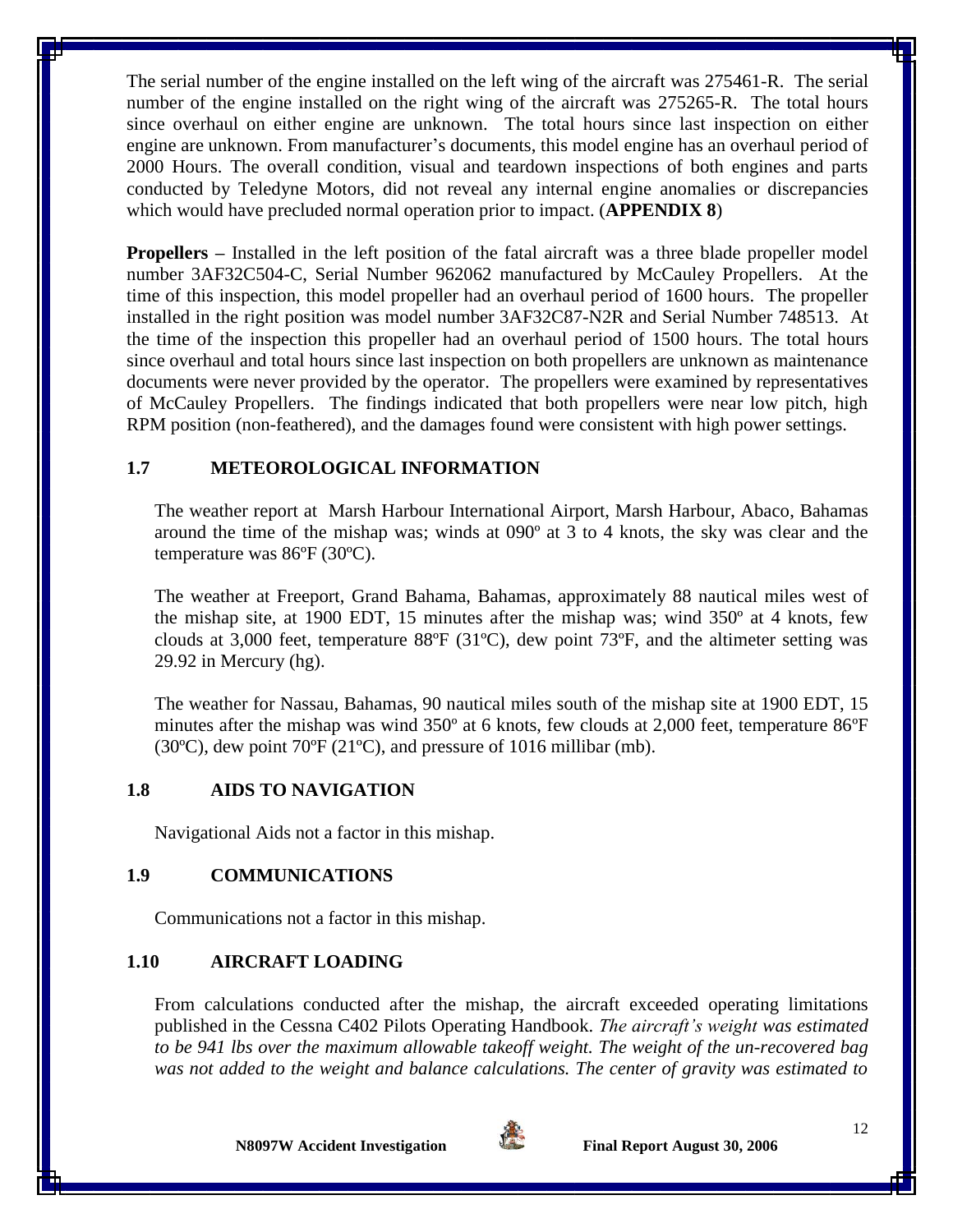The serial number of the engine installed on the left wing of the aircraft was 275461-R. The serial number of the engine installed on the right wing of the aircraft was 275265-R. The total hours since overhaul on either engine are unknown. The total hours since last inspection on either engine are unknown. From manufacturer's documents, this model engine has an overhaul period of 2000 Hours. The overall condition, visual and teardown inspections of both engines and parts conducted by Teledyne Motors, did not reveal any internal engine anomalies or discrepancies which would have precluded normal operation prior to impact. (**APPENDIX 8**)

**Propellers –** Installed in the left position of the fatal aircraft was a three blade propeller model number 3AF32C504-C, Serial Number 962062 manufactured by McCauley Propellers. At the time of this inspection, this model propeller had an overhaul period of 1600 hours. The propeller installed in the right position was model number 3AF32C87-N2R and Serial Number 748513. At the time of the inspection this propeller had an overhaul period of 1500 hours. The total hours since overhaul and total hours since last inspection on both propellers are unknown as maintenance documents were never provided by the operator. The propellers were examined by representatives of McCauley Propellers. The findings indicated that both propellers were near low pitch, high RPM position (non-feathered), and the damages found were consistent with high power settings.

### **1.7 METEOROLOGICAL INFORMATION**

The weather report at Marsh Harbour International Airport, Marsh Harbour, Abaco, Bahamas around the time of the mishap was; winds at 090º at 3 to 4 knots, the sky was clear and the temperature was 86ºF (30ºC).

The weather at Freeport, Grand Bahama, Bahamas, approximately 88 nautical miles west of the mishap site, at 1900 EDT, 15 minutes after the mishap was; wind 350º at 4 knots, few clouds at 3,000 feet, temperature 88ºF (31ºC), dew point 73ºF, and the altimeter setting was 29.92 in Mercury (hg).

The weather for Nassau, Bahamas, 90 nautical miles south of the mishap site at 1900 EDT, 15 minutes after the mishap was wind 350° at 6 knots, few clouds at 2,000 feet, temperature 86°F (30ºC), dew point 70ºF (21ºC), and pressure of 1016 millibar (mb).

### **1.8 AIDS TO NAVIGATION**

Navigational Aids not a factor in this mishap.

## **1.9 COMMUNICATIONS**

Communications not a factor in this mishap.

## **1.10 AIRCRAFT LOADING**

From calculations conducted after the mishap, the aircraft exceeded operating limitations published in the Cessna C402 Pilots Operating Handbook. *The aircraft's weight was estimated to be 941 lbs over the maximum allowable takeoff weight. The weight of the un-recovered bag was not added to the weight and balance calculations. The center of gravity was estimated to* 

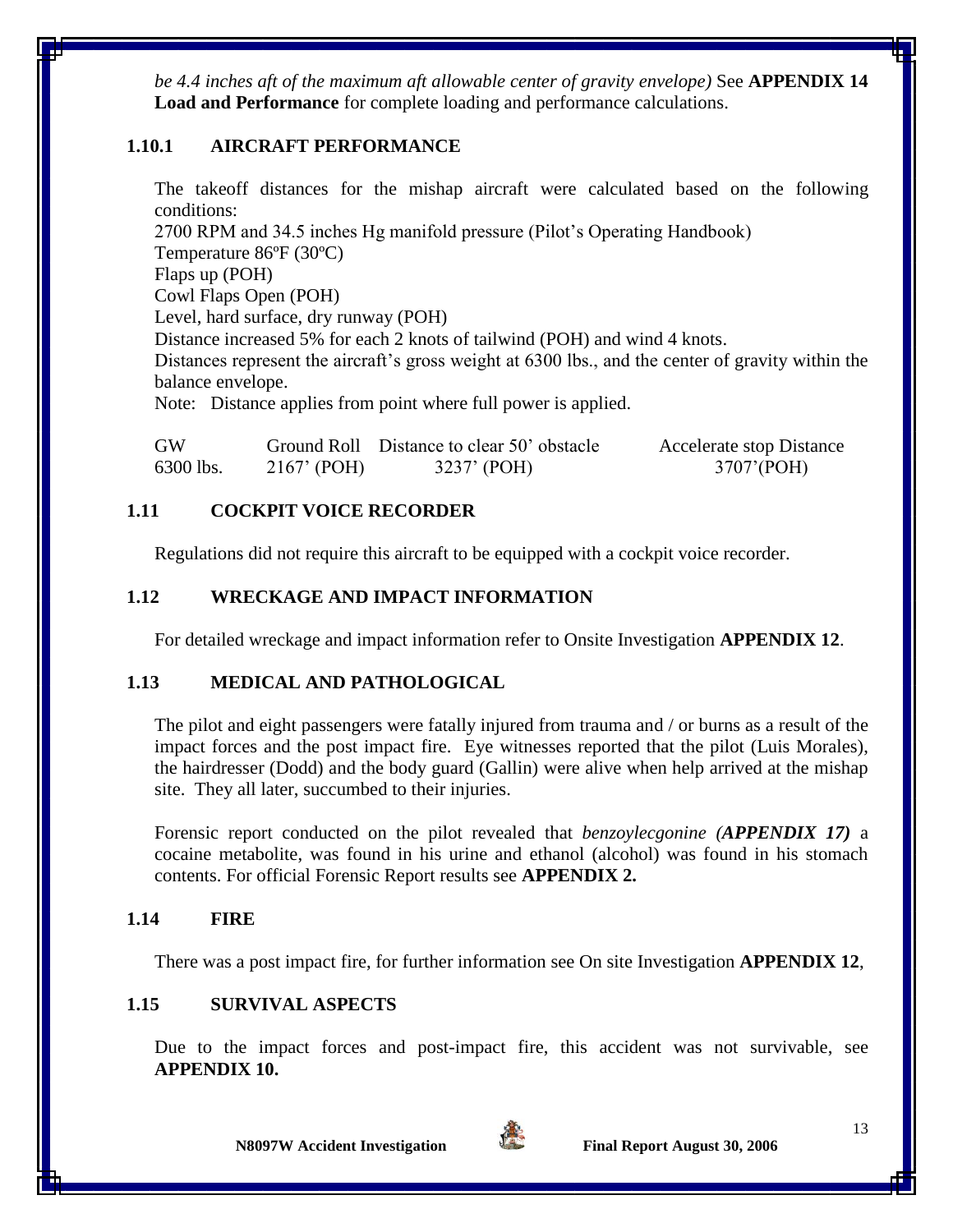*be 4.4 inches aft of the maximum aft allowable center of gravity envelope)* See **APPENDIX 14 Load and Performance** for complete loading and performance calculations.

### **1.10.1 AIRCRAFT PERFORMANCE**

The takeoff distances for the mishap aircraft were calculated based on the following conditions:

2700 RPM and 34.5 inches Hg manifold pressure (Pilot's Operating Handbook) Temperature 86ºF (30ºC) Flaps up (POH) Cowl Flaps Open (POH) Level, hard surface, dry runway (POH) Distance increased 5% for each 2 knots of tailwind (POH) and wind 4 knots. Distances represent the aircraft's gross weight at 6300 lbs., and the center of gravity within the balance envelope. Note: Distance applies from point where full power is applied.

| <b>GW</b> |               | Ground Roll Distance to clear 50' obstacle | <b>Accelerate stop Distance</b> |
|-----------|---------------|--------------------------------------------|---------------------------------|
| 6300 lbs. | $2167'$ (POH) | 3237' (POH)                                | 3707' (POH)                     |

## **1.11 COCKPIT VOICE RECORDER**

Regulations did not require this aircraft to be equipped with a cockpit voice recorder.

### **1.12 WRECKAGE AND IMPACT INFORMATION**

For detailed wreckage and impact information refer to Onsite Investigation **APPENDIX 12**.

### **1.13 MEDICAL AND PATHOLOGICAL**

The pilot and eight passengers were fatally injured from trauma and / or burns as a result of the impact forces and the post impact fire. Eye witnesses reported that the pilot (Luis Morales), the hairdresser (Dodd) and the body guard (Gallin) were alive when help arrived at the mishap site. They all later, succumbed to their injuries.

Forensic report conducted on the pilot revealed that *benzoylecgonine (APPENDIX 17)* a cocaine metabolite, was found in his urine and ethanol (alcohol) was found in his stomach contents. For official Forensic Report results see **APPENDIX 2.**

### **1.14 FIRE**

There was a post impact fire, for further information see On site Investigation **APPENDIX 12**,

## **1.15 SURVIVAL ASPECTS**

Due to the impact forces and post-impact fire, this accident was not survivable, see **APPENDIX 10.**

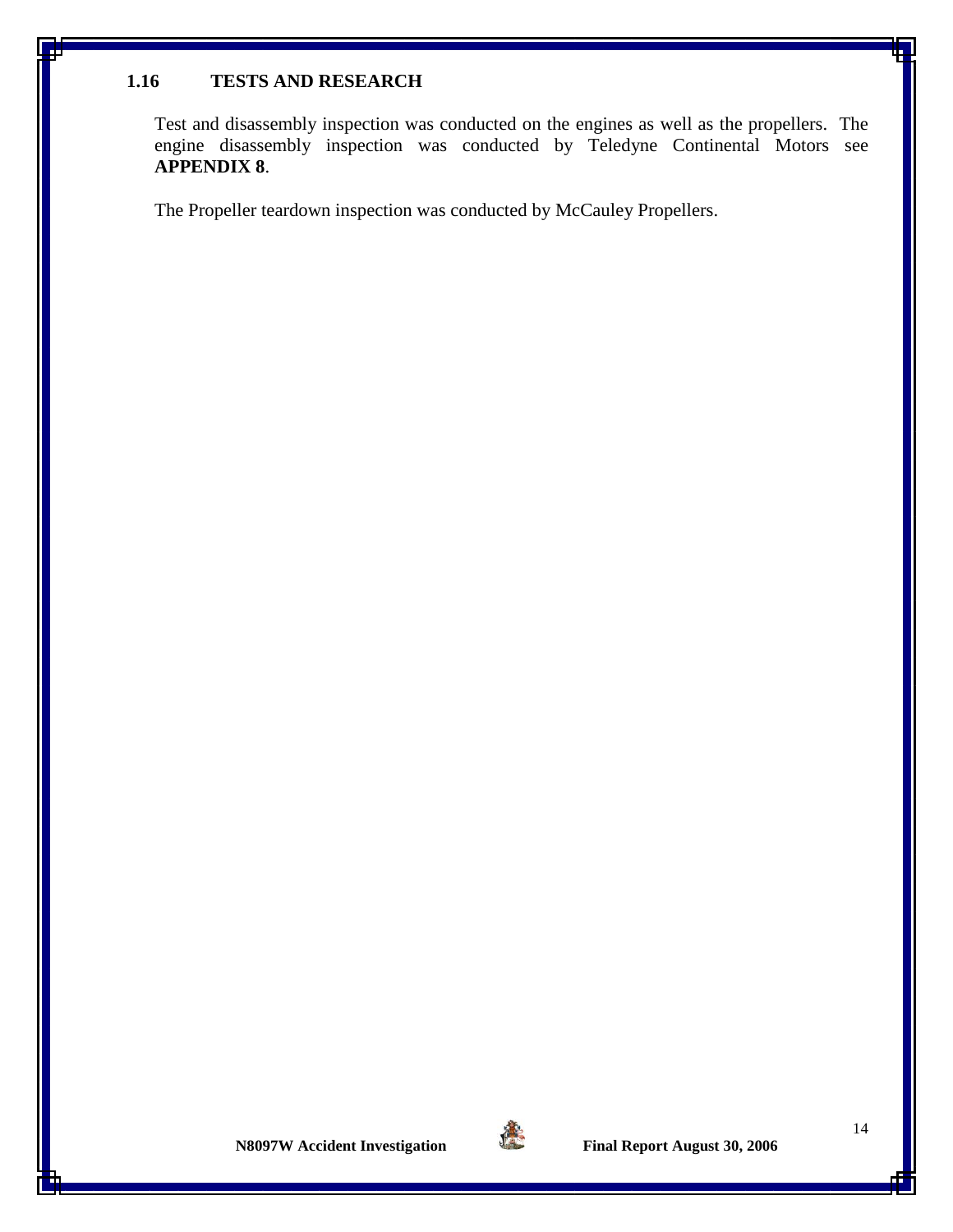### **1.16 TESTS AND RESEARCH**

Test and disassembly inspection was conducted on the engines as well as the propellers. The engine disassembly inspection was conducted by Teledyne Continental Motors see **APPENDIX 8**.

The Propeller teardown inspection was conducted by McCauley Propellers.

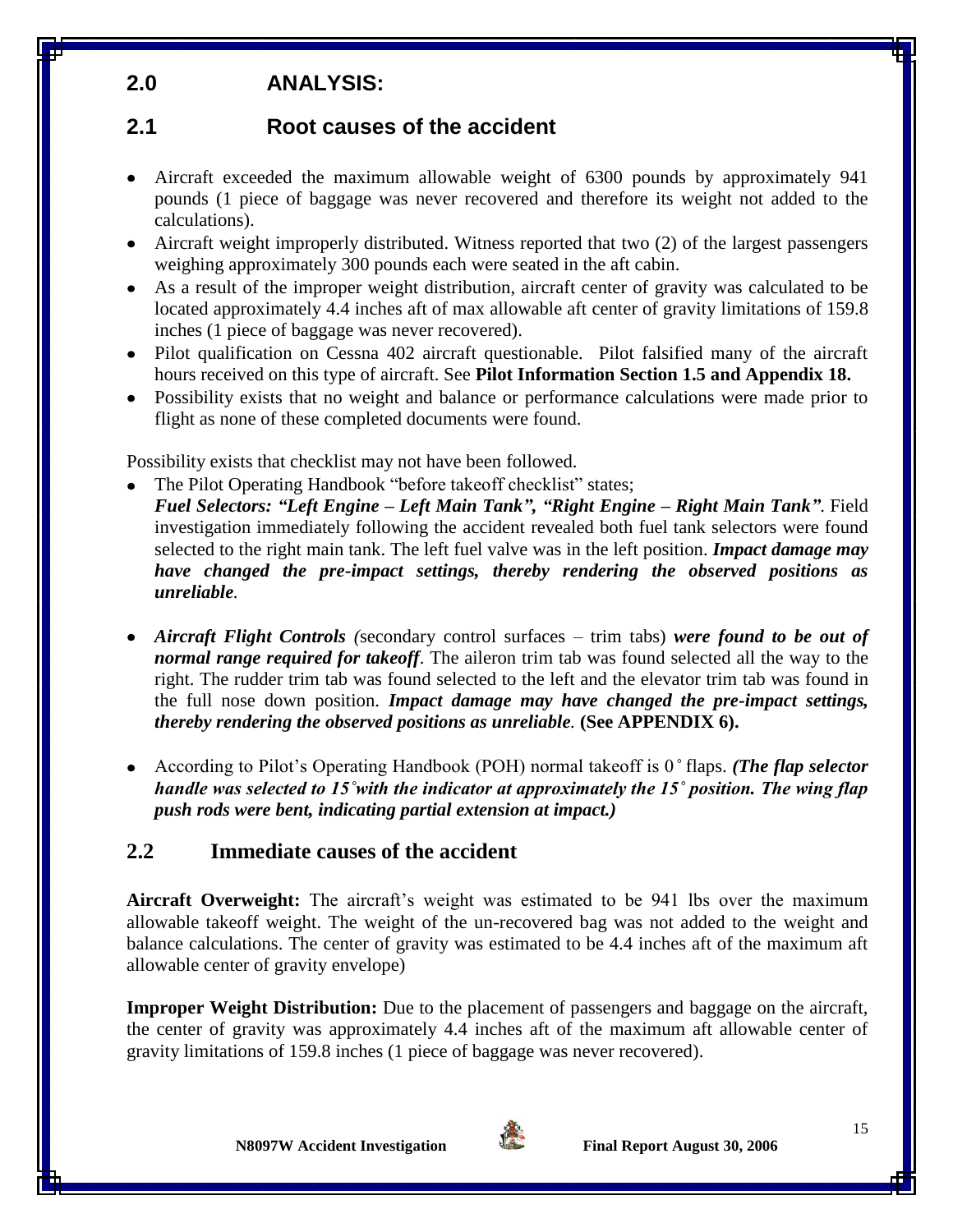# **2.0 ANALYSIS:**

# **2.1 Root causes of the accident**

- Aircraft exceeded the maximum allowable weight of 6300 pounds by approximately 941 pounds (1 piece of baggage was never recovered and therefore its weight not added to the calculations).
- Aircraft weight improperly distributed. Witness reported that two (2) of the largest passengers weighing approximately 300 pounds each were seated in the aft cabin.
- As a result of the improper weight distribution, aircraft center of gravity was calculated to be located approximately 4.4 inches aft of max allowable aft center of gravity limitations of 159.8 inches (1 piece of baggage was never recovered).
- Pilot qualification on Cessna 402 aircraft questionable. Pilot falsified many of the aircraft hours received on this type of aircraft. See **Pilot Information Section 1.5 and Appendix 18.**
- Possibility exists that no weight and balance or performance calculations were made prior to flight as none of these completed documents were found.

Possibility exists that checklist may not have been followed.

- The Pilot Operating Handbook "before takeoff checklist" states; *Fuel Selectors: "Left Engine – Left Main Tank", "Right Engine – Right Main Tank"*. Field investigation immediately following the accident revealed both fuel tank selectors were found selected to the right main tank. The left fuel valve was in the left position. *Impact damage may have changed the pre-impact settings, thereby rendering the observed positions as unreliable.*
- *Aircraft Flight Controls (*secondary control surfaces trim tabs) *were found to be out of normal range required for takeoff*. The aileron trim tab was found selected all the way to the right. The rudder trim tab was found selected to the left and the elevator trim tab was found in the full nose down position. *Impact damage may have changed the pre-impact settings, thereby rendering the observed positions as unreliable.* **(See APPENDIX 6).**
- According to Pilot's Operating Handbook (POH) normal takeoff is 0*˚* flaps. *(The flap selector handle was selected to 15˚with the indicator at approximately the 15˚ position. The wing flap push rods were bent, indicating partial extension at impact.)*

## **2.2 Immediate causes of the accident**

**Aircraft Overweight:** The aircraft's weight was estimated to be 941 lbs over the maximum allowable takeoff weight. The weight of the un-recovered bag was not added to the weight and balance calculations. The center of gravity was estimated to be 4.4 inches aft of the maximum aft allowable center of gravity envelope)

**Improper Weight Distribution:** Due to the placement of passengers and baggage on the aircraft, the center of gravity was approximately 4.4 inches aft of the maximum aft allowable center of gravity limitations of 159.8 inches (1 piece of baggage was never recovered).

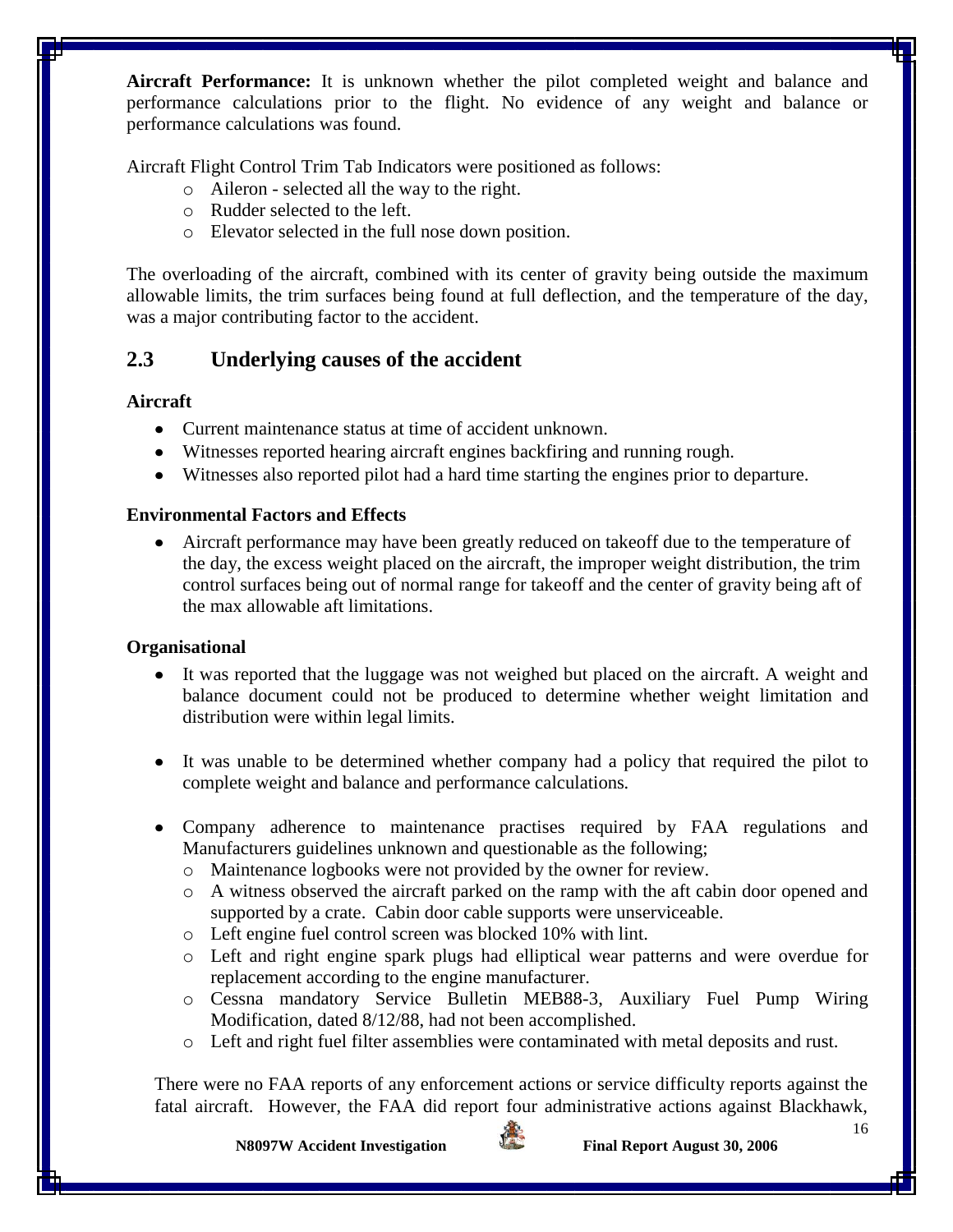**Aircraft Performance:** It is unknown whether the pilot completed weight and balance and performance calculations prior to the flight. No evidence of any weight and balance or performance calculations was found.

Aircraft Flight Control Trim Tab Indicators were positioned as follows:

- o Aileron selected all the way to the right.
- o Rudder selected to the left.
- o Elevator selected in the full nose down position.

The overloading of the aircraft, combined with its center of gravity being outside the maximum allowable limits, the trim surfaces being found at full deflection, and the temperature of the day, was a major contributing factor to the accident.

## **2.3 Underlying causes of the accident**

## **Aircraft**

- Current maintenance status at time of accident unknown.
- Witnesses reported hearing aircraft engines backfiring and running rough.
- Witnesses also reported pilot had a hard time starting the engines prior to departure.

## **Environmental Factors and Effects**

Aircraft performance may have been greatly reduced on takeoff due to the temperature of the day, the excess weight placed on the aircraft, the improper weight distribution, the trim control surfaces being out of normal range for takeoff and the center of gravity being aft of the max allowable aft limitations.

## **Organisational**

- It was reported that the luggage was not weighed but placed on the aircraft. A weight and balance document could not be produced to determine whether weight limitation and distribution were within legal limits.
- It was unable to be determined whether company had a policy that required the pilot to complete weight and balance and performance calculations*.*
- Company adherence to maintenance practises required by FAA regulations and Manufacturers guidelines unknown and questionable as the following;
	- o Maintenance logbooks were not provided by the owner for review.
	- o A witness observed the aircraft parked on the ramp with the aft cabin door opened and supported by a crate. Cabin door cable supports were unserviceable.
	- o Left engine fuel control screen was blocked 10% with lint.
	- o Left and right engine spark plugs had elliptical wear patterns and were overdue for replacement according to the engine manufacturer.
	- o Cessna mandatory Service Bulletin MEB88-3, Auxiliary Fuel Pump Wiring Modification, dated 8/12/88, had not been accomplished.
	- o Left and right fuel filter assemblies were contaminated with metal deposits and rust.

There were no FAA reports of any enforcement actions or service difficulty reports against the fatal aircraft. However, the FAA did report four administrative actions against Blackhawk,

**N8097W** Accident Investigation Final Report August 30, 2006

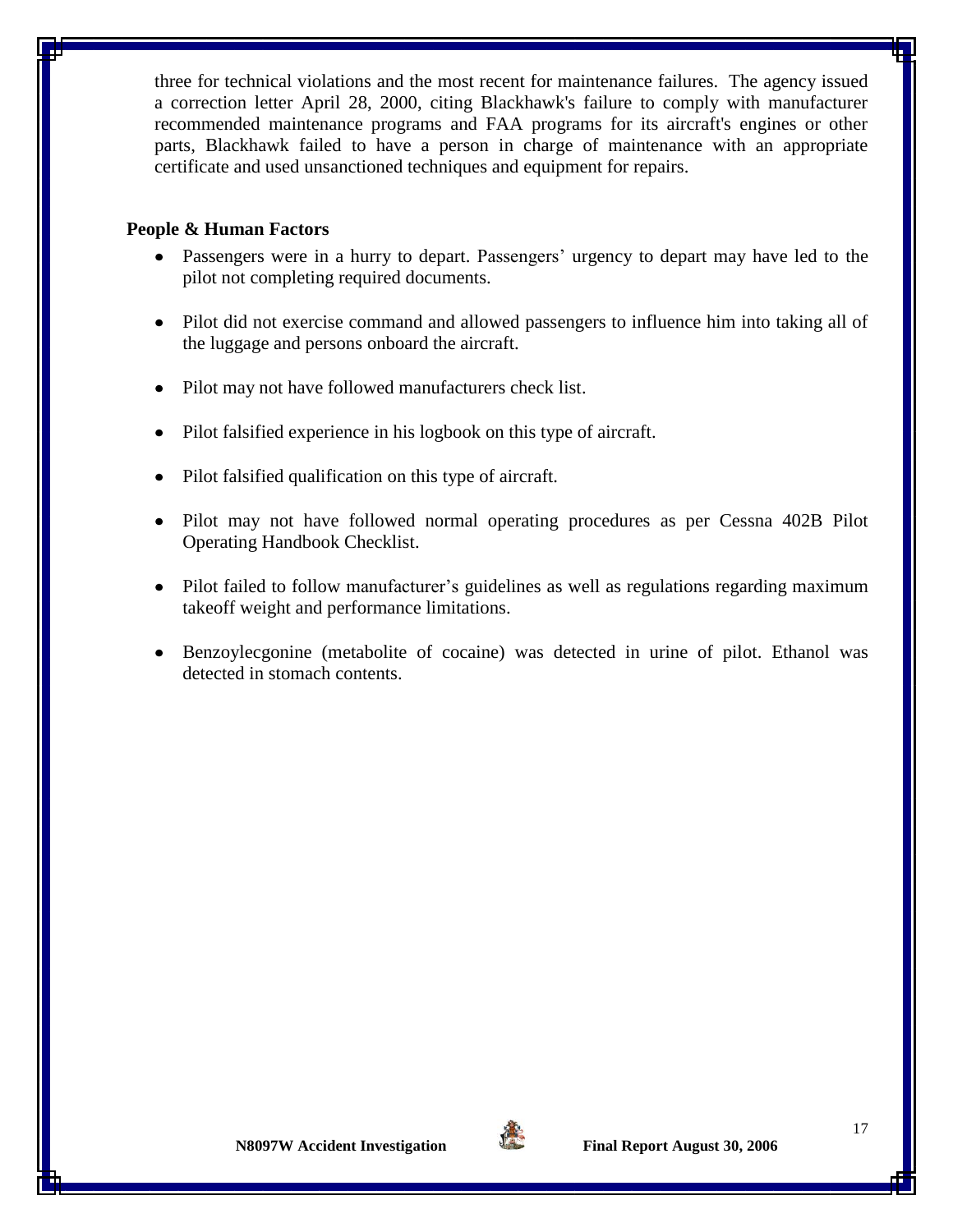three for technical violations and the most recent for maintenance failures. The agency issued a correction letter April 28, 2000, citing Blackhawk's failure to comply with manufacturer recommended maintenance programs and FAA programs for its aircraft's engines or other parts, Blackhawk failed to have a person in charge of maintenance with an appropriate certificate and used unsanctioned techniques and equipment for repairs.

#### **People & Human Factors**

- Passengers were in a hurry to depart. Passengers' urgency to depart may have led to the pilot not completing required documents.
- Pilot did not exercise command and allowed passengers to influence him into taking all of the luggage and persons onboard the aircraft.
- Pilot may not have followed manufacturers check list.
- Pilot falsified experience in his logbook on this type of aircraft.
- Pilot falsified qualification on this type of aircraft.
- Pilot may not have followed normal operating procedures as per Cessna 402B Pilot Operating Handbook Checklist.
- Pilot failed to follow manufacturer's guidelines as well as regulations regarding maximum takeoff weight and performance limitations.
- Benzoylecgonine (metabolite of cocaine) was detected in urine of pilot. Ethanol was detected in stomach contents.

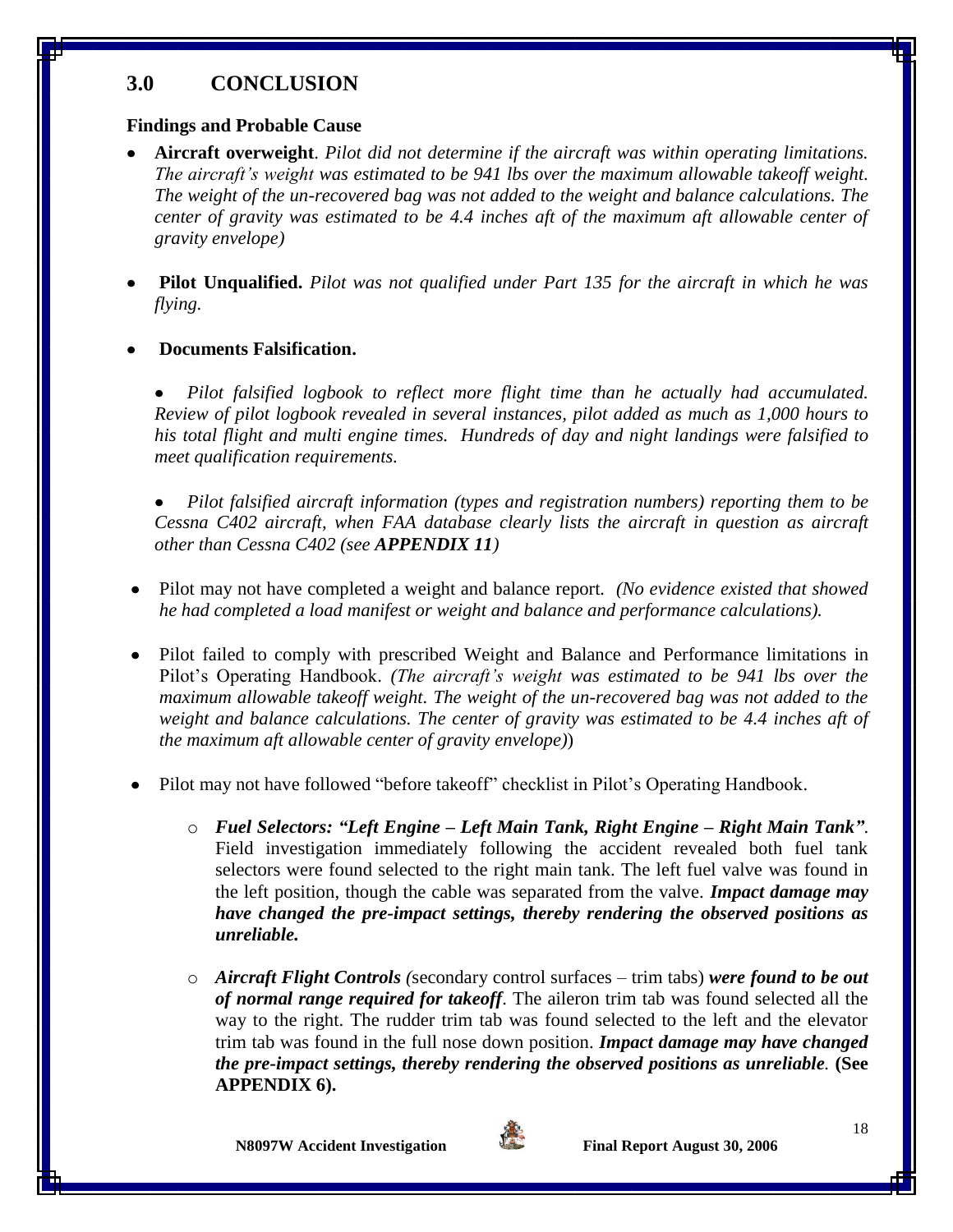## **3.0 CONCLUSION**

## **Findings and Probable Cause**

- **Aircraft overweight**. *Pilot did not determine if the aircraft was within operating limitations. The aircraft's weight was estimated to be 941 lbs over the maximum allowable takeoff weight. The weight of the un-recovered bag was not added to the weight and balance calculations. The center of gravity was estimated to be 4.4 inches aft of the maximum aft allowable center of gravity envelope)*
- **Pilot Unqualified.** *Pilot was not qualified under Part 135 for the aircraft in which he was flying.*

## **Documents Falsification.**

*Pilot falsified logbook to reflect more flight time than he actually had accumulated. Review of pilot logbook revealed in several instances, pilot added as much as 1,000 hours to his total flight and multi engine times. Hundreds of day and night landings were falsified to meet qualification requirements.*

*Pilot falsified aircraft information (types and registration numbers) reporting them to be Cessna C402 aircraft, when FAA database clearly lists the aircraft in question as aircraft other than Cessna C402 (see APPENDIX 11)*

- Pilot may not have completed a weight and balance report*. (No evidence existed that showed he had completed a load manifest or weight and balance and performance calculations).*
- Pilot failed to comply with prescribed Weight and Balance and Performance limitations in Pilot's Operating Handbook. *(The aircraft's weight was estimated to be 941 lbs over the maximum allowable takeoff weight. The weight of the un-recovered bag was not added to the weight and balance calculations. The center of gravity was estimated to be 4.4 inches aft of the maximum aft allowable center of gravity envelope)*)
- Pilot may not have followed "before takeoff" checklist in Pilot's Operating Handbook.
	- o *Fuel Selectors: "Left Engine – Left Main Tank, Right Engine – Right Main Tank"*. Field investigation immediately following the accident revealed both fuel tank selectors were found selected to the right main tank. The left fuel valve was found in the left position, though the cable was separated from the valve. *Impact damage may have changed the pre-impact settings, thereby rendering the observed positions as unreliable.*
	- o *Aircraft Flight Controls (*secondary control surfaces trim tabs) *were found to be out of normal range required for takeoff*. The aileron trim tab was found selected all the way to the right. The rudder trim tab was found selected to the left and the elevator trim tab was found in the full nose down position. *Impact damage may have changed the pre-impact settings, thereby rendering the observed positions as unreliable.* **(See APPENDIX 6).**

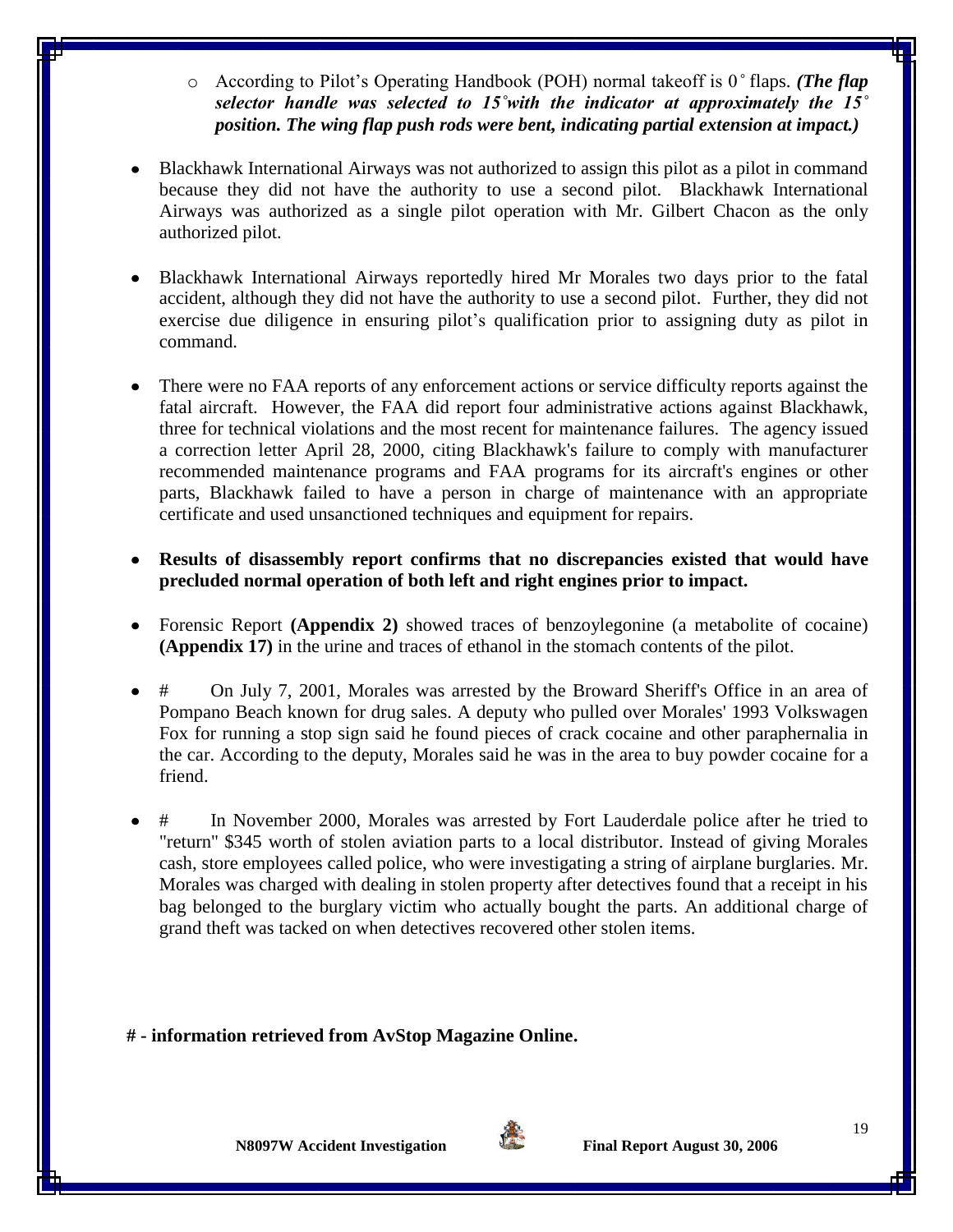- o According to Pilot's Operating Handbook (POH) normal takeoff is 0*˚* flaps. *(The flap selector handle was selected to 15˚with the indicator at approximately the 15˚ position. The wing flap push rods were bent, indicating partial extension at impact.)*
- Blackhawk International Airways was not authorized to assign this pilot as a pilot in command because they did not have the authority to use a second pilot. Blackhawk International Airways was authorized as a single pilot operation with Mr. Gilbert Chacon as the only authorized pilot.
- Blackhawk International Airways reportedly hired Mr Morales two days prior to the fatal accident, although they did not have the authority to use a second pilot. Further, they did not exercise due diligence in ensuring pilot's qualification prior to assigning duty as pilot in command.
- There were no FAA reports of any enforcement actions or service difficulty reports against the fatal aircraft. However, the FAA did report four administrative actions against Blackhawk, three for technical violations and the most recent for maintenance failures. The agency issued a correction letter April 28, 2000, citing Blackhawk's failure to comply with manufacturer recommended maintenance programs and FAA programs for its aircraft's engines or other parts, Blackhawk failed to have a person in charge of maintenance with an appropriate certificate and used unsanctioned techniques and equipment for repairs.
- **Results of disassembly report confirms that no discrepancies existed that would have precluded normal operation of both left and right engines prior to impact.**
- Forensic Report **(Appendix 2)** showed traces of benzoylegonine (a metabolite of cocaine) **(Appendix 17)** in the urine and traces of ethanol in the stomach contents of the pilot.
- # On July 7, 2001, Morales was arrested by the Broward Sheriff's Office in an area of Pompano Beach known for drug sales. A deputy who pulled over Morales' 1993 Volkswagen Fox for running a stop sign said he found pieces of crack cocaine and other paraphernalia in the car. According to the deputy, Morales said he was in the area to buy powder cocaine for a friend.
- # In November 2000, Morales was arrested by Fort Lauderdale police after he tried to "return'' \$345 worth of stolen aviation parts to a local distributor. Instead of giving Morales cash, store employees called police, who were investigating a string of airplane burglaries. Mr. Morales was charged with dealing in stolen property after detectives found that a receipt in his bag belonged to the burglary victim who actually bought the parts. An additional charge of grand theft was tacked on when detectives recovered other stolen items.

### **# - information retrieved from AvStop Magazine Online.**

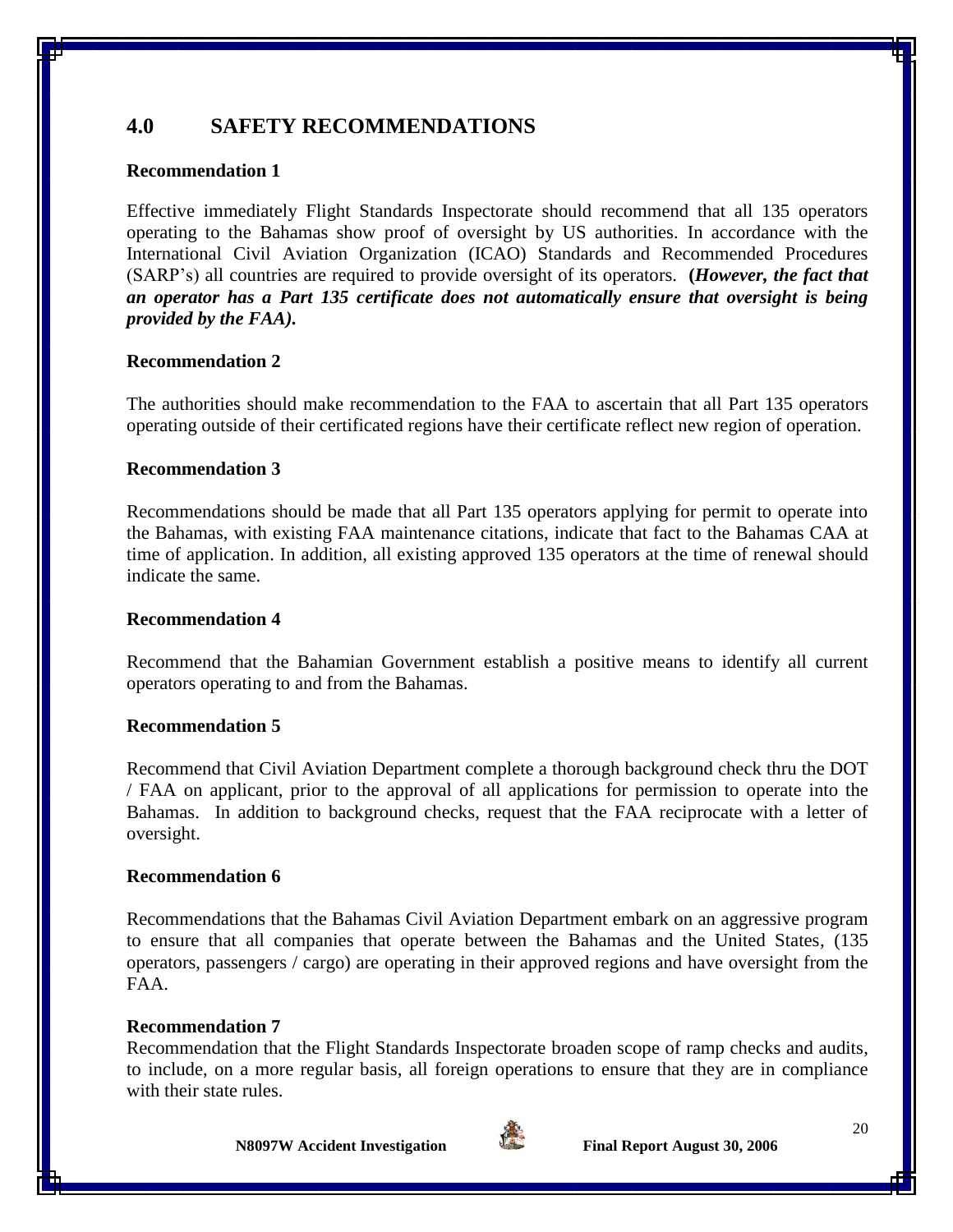## **4.0 SAFETY RECOMMENDATIONS**

### **Recommendation 1**

Effective immediately Flight Standards Inspectorate should recommend that all 135 operators operating to the Bahamas show proof of oversight by US authorities. In accordance with the International Civil Aviation Organization (ICAO) Standards and Recommended Procedures (SARP's) all countries are required to provide oversight of its operators. **(***However, the fact that an operator has a Part 135 certificate does not automatically ensure that oversight is being provided by the FAA).*

### **Recommendation 2**

The authorities should make recommendation to the FAA to ascertain that all Part 135 operators operating outside of their certificated regions have their certificate reflect new region of operation.

### **Recommendation 3**

Recommendations should be made that all Part 135 operators applying for permit to operate into the Bahamas, with existing FAA maintenance citations, indicate that fact to the Bahamas CAA at time of application. In addition, all existing approved 135 operators at the time of renewal should indicate the same.

### **Recommendation 4**

Recommend that the Bahamian Government establish a positive means to identify all current operators operating to and from the Bahamas.

## **Recommendation 5**

Recommend that Civil Aviation Department complete a thorough background check thru the DOT / FAA on applicant, prior to the approval of all applications for permission to operate into the Bahamas. In addition to background checks, request that the FAA reciprocate with a letter of oversight.

### **Recommendation 6**

Recommendations that the Bahamas Civil Aviation Department embark on an aggressive program to ensure that all companies that operate between the Bahamas and the United States, (135 operators, passengers / cargo) are operating in their approved regions and have oversight from the FAA.

### **Recommendation 7**

Recommendation that the Flight Standards Inspectorate broaden scope of ramp checks and audits, to include, on a more regular basis, all foreign operations to ensure that they are in compliance with their state rules.

**N8097W** Accident Investigation Final Report August 30, 2006